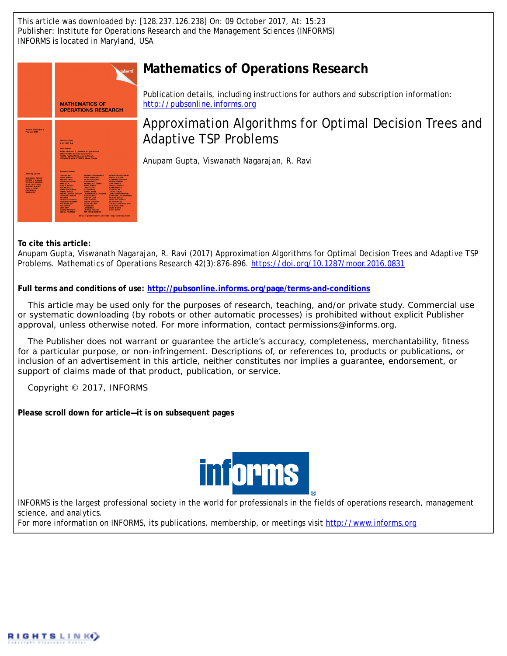This article was downloaded by: [128.237.126.238] On: 09 October 2017, At: 15:23 Publisher: Institute for Operations Research and the Management Sciences (INFORMS) INFORMS is located in Maryland, USA



# **Mathematics of Operations Research**

Publication details, including instructions for authors and subscription information: <http://pubsonline.informs.org>

# Approximation Algorithms for Optimal Decision Trees and Adaptive TSP Problems

Anupam Gupta, Viswanath Nagarajan, R. Ravi

**To cite this article:**

Anupam Gupta, Viswanath Nagarajan, R. Ravi (2017) Approximation Algorithms for Optimal Decision Trees and Adaptive TSP Problems. Mathematics of Operations Research 42(3):876-896. <https://doi.org/10.1287/moor.2016.0831>

**Full terms and conditions of use: <http://pubsonline.informs.org/page/terms-and-conditions>**

This article may be used only for the purposes of research, teaching, and/or private study. Commercial use or systematic downloading (by robots or other automatic processes) is prohibited without explicit Publisher approval, unless otherwise noted. For more information, contact permissions@informs.org.

The Publisher does not warrant or guarantee the article's accuracy, completeness, merchantability, fitness for a particular purpose, or non-infringement. Descriptions of, or references to, products or publications, or inclusion of an advertisement in this article, neither constitutes nor implies a guarantee, endorsement, or support of claims made of that product, publication, or service.

Copyright © 2017, INFORMS

**Please scroll down for article—it is on subsequent pages**



INFORMS is the largest professional society in the world for professionals in the fields of operations research, management science, and analytics.

For more information on INFORMS, its publications, membership, or meetings visit <http://www.informs.org>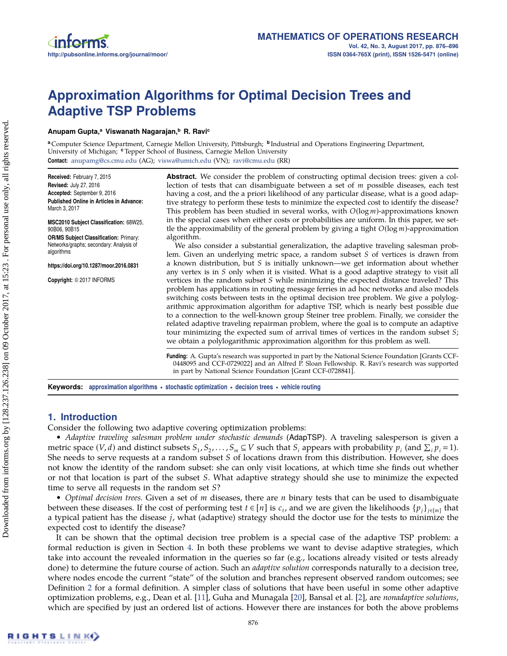# **Approximation Algorithms for Optimal Decision Trees and Adaptive TSP Problems**

**Anupam Gupta,<sup>a</sup> Viswanath Nagarajan,<sup>b</sup> R. Ravi<sup>c</sup>**

**<sup>a</sup>** Computer Science Department, Carnegie Mellon University, Pittsburgh; **<sup>b</sup>** Industrial and Operations Engineering Department, University of Michigan; **<sup>c</sup>** Tepper School of Business, Carnegie Mellon University **Contact:** [anupamg@cs.cmu.edu](mailto:anupamg@cs.cmu.edu) (AG); [viswa@umich.edu](mailto:viswa@umich.edu) (VN); [ravi@cmu.edu](mailto:ravi@cmu.edu) (RR)

**Received:** February 7, 2015 **Revised:** July 27, 2016 **Accepted:** September 9, 2016 **Published Online in Articles in Advance:** March 3, 2017

**MSC2010 Subject Classification:** 68W25, 90B06, 90B15 **OR/MS Subject Classification:** Primary:

Networks/graphs; secondary: Analysis of algorithms

**https://doi.org/10.1287/moor.2016.0831**

**Copyright:** © 2017 INFORMS

**Abstract.** We consider the problem of constructing optimal decision trees: given a collection of tests that can disambiguate between a set of *m* possible diseases, each test having a cost, and the a priori likelihood of any particular disease, what is a good adaptive strategy to perform these tests to minimize the expected cost to identify the disease? This problem has been studied in several works, with *O*(log *m*)-approximations known in the special cases when either costs or probabilities are uniform. In this paper, we settle the approximability of the general problem by giving a tight *O*(log *m*)-approximation algorithm.

We also consider a substantial generalization, the adaptive traveling salesman problem. Given an underlying metric space, a random subset *S* of vertices is drawn from a known distribution, but *S* is initially unknown—we get information about whether any vertex is in *S* only when it is visited. What is a good adaptive strategy to visit all vertices in the random subset *S* while minimizing the expected distance traveled? This problem has applications in routing message ferries in ad hoc networks and also models switching costs between tests in the optimal decision tree problem. We give a polylogarithmic approximation algorithm for adaptive TSP, which is nearly best possible due to a connection to the well-known group Steiner tree problem. Finally, we consider the related adaptive traveling repairman problem, where the goal is to compute an adaptive tour minimizing the expected sum of arrival times of vertices in the random subset *S*; we obtain a polylogarithmic approximation algorithm for this problem as well.

**Funding:** A. Gupta's research was supported in part by the National Science Foundation [Grants CCF-0448095 and CCF-0729022] and an Alfred P. Sloan Fellowship. R. Ravi's research was supported in part by National Science Foundation [Grant CCF-0728841].

**Keywords: approximation algorithms • stochastic optimization • decision trees • vehicle routing**

# **1. Introduction**

Consider the following two adaptive covering optimization problems:

• *Adaptive traveling salesman problem under stochastic demands* (AdapTSP). A traveling salesperson is given a metric space  $(V, d)$  and distinct subsets  $S_1, S_2, \ldots, S_m \subseteq V$  such that  $S_i$  appears with probability  $p_i$  (and  $\sum_i p_i = 1$ ). She needs to serve requests at a random subset *S* of locations drawn from this distribution. However, she does not know the identity of the random subset: she can only visit locations, at which time she finds out whether or not that location is part of the subset *S*. What adaptive strategy should she use to minimize the expected time to serve all requests in the random set *S*?

• *Optimal decision trees.* Given a set of *m* diseases, there are *n* binary tests that can be used to disambiguate between these diseases. If the cost of performing test  $t \in [n]$  is  $c_t$ , and we are given the likelihoods  $\{p_j\}_{j \in [m]}$  that a typical patient has the disease *j*, what (adaptive) strategy should the doctor use for the tests to minimize the expected cost to identify the disease?

It can be shown that the optimal decision tree problem is a special case of the adaptive TSP problem: a formal reduction is given in Section [4.](#page-12-0) In both these problems we want to devise adaptive strategies, which take into account the revealed information in the queries so far (e.g., locations already visited or tests already done) to determine the future course of action. Such an *adaptive solution* corresponds naturally to a decision tree, where nodes encode the current "state" of the solution and branches represent observed random outcomes; see Definition [2](#page-4-0) for a formal definition. A simpler class of solutions that have been useful in some other adaptive optimization problems, e.g., Dean et al. [\[11\]](#page-20-0), Guha and Munagala [\[20\]](#page-21-0), Bansal et al. [\[2\]](#page-20-1), are *nonadaptive solutions*, which are specified by just an ordered list of actions. However there are instances for both the above problems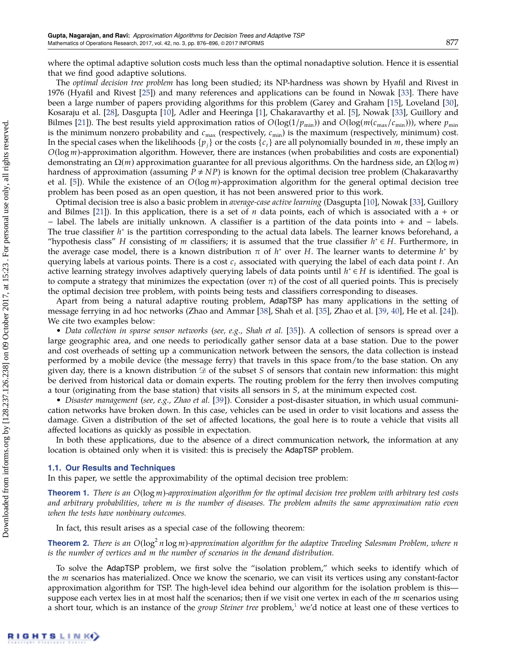where the optimal adaptive solution costs much less than the optimal nonadaptive solution. Hence it is essential that we find good adaptive solutions.

The *optimal decision tree problem* has long been studied; its NP-hardness was shown by Hyafil and Rivest in 1976 (Hyafil and Rivest [\[25\]](#page-21-1)) and many references and applications can be found in Nowak [\[33\]](#page-21-2). There have been a large number of papers providing algorithms for this problem (Garey and Graham [\[15\]](#page-20-2), Loveland [\[30\]](#page-21-3), Kosaraju et al. [\[28\]](#page-21-4), Dasgupta [\[10\]](#page-20-3), Adler and Heeringa [\[1\]](#page-20-4), Chakaravarthy et al. [\[5\]](#page-20-5), Nowak [\[33\]](#page-21-2), Guillory and Bilmes [\[21\]](#page-21-5)). The best results yield approximation ratios of  $O(log(1/p_{min}))$  and  $O(log(m(c_{max}/c_{min})))$ , where  $p_{min}$ is the minimum nonzero probability and  $c_{\text{max}}$  (respectively,  $c_{\text{min}}$ ) is the maximum (respectively, minimum) cost. In the special cases when the likelihoods  $\{p_j\}$  or the costs  $\{c_t\}$  are all polynomially bounded in *m*, these imply an *O*(log *m*)-approximation algorithm. However, there are instances (when probabilities and costs are exponential) demonstrating an Ω(*m*) approximation guarantee for all previous algorithms. On the hardness side, an Ω(log *m*) hardness of approximation (assuming  $P \neq NP$ ) is known for the optimal decision tree problem (Chakaravarthy et al. [\[5\]](#page-20-5)). While the existence of an *O*(log *m*)-approximation algorithm for the general optimal decision tree problem has been posed as an open question, it has not been answered prior to this work.

Optimal decision tree is also a basic problem in *average-case active learning* (Dasgupta [\[10\]](#page-20-3), Nowak [\[33\]](#page-21-2), Guillory and Bilmes [\[21\]](#page-21-5)). In this application, there is a set of *n* data points, each of which is associated with a + or − label. The labels are initially unknown. A classifier is a partition of the data points into + and − labels. The true classifier *h*<sup>\*</sup> is the partition corresponding to the actual data labels. The learner knows beforehand, a "hypothesis class" *H* consisting of *m* classifiers; it is assumed that the true classifier  $h^* \in H$ . Furthermore, in the average case model, there is a known distribution  $\pi$  of  $h^*$  over H. The learner wants to determine  $h^*$  by querying labels at various points. There is a cost *c<sup>t</sup>* associated with querying the label of each data point *t*. An active learning strategy involves adaptively querying labels of data points until *h* <sup>∗</sup> ∈ *H* is identified. The goal is to compute a strategy that minimizes the expectation (over  $\pi$ ) of the cost of all queried points. This is precisely the optimal decision tree problem, with points being tests and classifiers corresponding to diseases.

Apart from being a natural adaptive routing problem, AdapTSP has many applications in the setting of message ferrying in ad hoc networks (Zhao and Ammar [\[38\]](#page-21-6), Shah et al. [\[35\]](#page-21-7), Zhao et al. [\[39,](#page-21-8) [40\]](#page-21-9), He et al. [\[24\]](#page-21-10)). We cite two examples below:

• *Data collection in sparse sensor networks (see, e.g., Shah et al.* [\[35\]](#page-21-7)). A collection of sensors is spread over a large geographic area, and one needs to periodically gather sensor data at a base station. Due to the power and cost overheads of setting up a communication network between the sensors, the data collection is instead performed by a mobile device (the message ferry) that travels in this space from/to the base station. On any given day, there is a known distribution D of the subset *S* of sensors that contain new information: this might be derived from historical data or domain experts. The routing problem for the ferry then involves computing a tour (originating from the base station) that visits all sensors in *S*, at the minimum expected cost.

• *Disaster management (see, e.g., Zhao et al. [\[39\]](#page-21-8)).* Consider a post-disaster situation, in which usual communication networks have broken down. In this case, vehicles can be used in order to visit locations and assess the damage. Given a distribution of the set of affected locations, the goal here is to route a vehicle that visits all affected locations as quickly as possible in expectation.

In both these applications, due to the absence of a direct communication network, the information at any location is obtained only when it is visited: this is precisely the AdapTSP problem.

#### **1.1. Our Results and Techniques**

In this paper, we settle the approximability of the optimal decision tree problem:

<span id="page-2-1"></span>**Theorem 1.** *There is an O*(log *m*)*-approximation algorithm for the optimal decision tree problem with arbitrary test costs and arbitrary probabilities, where m is the number of diseases. The problem admits the same approximation ratio even when the tests have nonbinary outcomes.*

In fact, this result arises as a special case of the following theorem:

<span id="page-2-0"></span>**Theorem 2.** There is an  $O(\log^2 n \log m)$ -approximation algorithm for the adaptive Traveling Salesman Problem, where n *is the number of vertices and m the number of scenarios in the demand distribution.*

<span id="page-2-2"></span>To solve the AdapTSP problem, we first solve the "isolation problem," which seeks to identify which of the *m* scenarios has materialized. Once we know the scenario, we can visit its vertices using any constant-factor approximation algorithm for TSP. The high-level idea behind our algorithm for the isolation problem is this suppose each vertex lies in at most half the scenarios; then if we visit one vertex in each of the *m* scenarios using a short tour, which is an instance of the *group Steiner tree* problem,<sup>[1](#page-20-6)</sup> we'd notice at least one of these vertices to

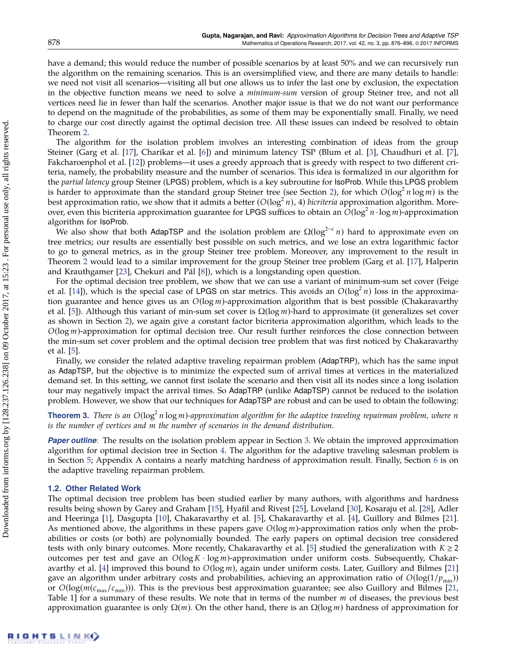have a demand; this would reduce the number of possible scenarios by at least 50% and we can recursively run the algorithm on the remaining scenarios. This is an oversimplified view, and there are many details to handle: we need not visit all scenarios—visiting all but one allows us to infer the last one by exclusion, the expectation in the objective function means we need to solve a *minimum-sum* version of group Steiner tree, and not all vertices need lie in fewer than half the scenarios. Another major issue is that we do not want our performance to depend on the magnitude of the probabilities, as some of them may be exponentially small. Finally, we need to charge our cost directly against the optimal decision tree. All these issues can indeed be resolved to obtain Theorem [2.](#page-2-0)

The algorithm for the isolation problem involves an interesting combination of ideas from the group Steiner (Garg et al. [\[17\]](#page-21-11), Charikar et al. [\[6\]](#page-20-7)) and minimum latency TSP (Blum et al. [\[3\]](#page-20-8), Chaudhuri et al. [\[7\]](#page-20-9), Fakcharoenphol et al. [\[12\]](#page-20-10)) problems—it uses a greedy approach that is greedy with respect to two different criteria, namely, the probability measure and the number of scenarios. This idea is formalized in our algorithm for the *partial latency* group Steiner (LPGS) problem, which is a key subroutine for IsoProb. While this LPGS problem is harder to approximate than the standard group Steiner tree (see Section [2\)](#page-4-1), for which  $O(\log^2 n \log m)$  is the best approximation ratio, we show that it admits a better (O(log<sup>2</sup> n), 4) *bicriteria* approximation algorithm. Moreover, even this bicriteria approximation guarantee for LPGS suffices to obtain an  $\widehat{O}(\log^2 n \cdot \log m)$ -approximation algorithm for IsoProb.

We also show that both AdapTSP and the isolation problem are Ω(log<sup>2</sup>− *n*) hard to approximate even on tree metrics; our results are essentially best possible on such metrics, and we lose an extra logarithmic factor to go to general metrics, as in the group Steiner tree problem. Moreover, any improvement to the result in Theorem [2](#page-2-0) would lead to a similar improvement for the group Steiner tree problem (Garg et al. [\[17\]](#page-21-11), Halperin and Krauthgamer [\[23\]](#page-21-12), Chekuri and Pál [\[8\]](#page-20-11)), which is a longstanding open question.

For the optimal decision tree problem, we show that we can use a variant of minimum-sum set cover (Feige et al. [\[14\]](#page-20-12)), which is the special case of LPGS on star metrics. This avoids an  $O(\log^2 n)$  loss in the approximation guarantee and hence gives us an *O*(log *m*)-approximation algorithm that is best possible (Chakaravarthy et al. [\[5\]](#page-20-5)). Although this variant of min-sum set cover is Ω(log *m*)-hard to approximate (it generalizes set cover as shown in Section [2\)](#page-4-1), we again give a constant factor bicriteria approximation algorithm, which leads to the *O*(log *m*)-approximation for optimal decision tree. Our result further reinforces the close connection between the min-sum set cover problem and the optimal decision tree problem that was first noticed by Chakaravarthy et al. [\[5\]](#page-20-5).

Finally, we consider the related adaptive traveling repairman problem (AdapTRP), which has the same input as AdapTSP, but the objective is to minimize the expected sum of arrival times at vertices in the materialized demand set. In this setting, we cannot first isolate the scenario and then visit all its nodes since a long isolation tour may negatively impact the arrival times. So AdapTRP (unlike AdapTSP) cannot be reduced to the isolation problem. However, we show that our techniques for AdapTSP are robust and can be used to obtain the following:

<span id="page-3-0"></span>**Theorem 3.** There is an  $O(\log^2 n \log m)$ -approximation algorithm for the adaptive traveling repairman problem, where n *is the number of vertices and m the number of scenarios in the demand distribution.*

*Paper outline*: The results on the isolation problem appear in Section [3.](#page-6-0) We obtain the improved approximation algorithm for optimal decision tree in Section [4.](#page-12-0) The algorithm for the adaptive traveling salesman problem is in Section [5;](#page-13-0) Appendix A contains a nearly matching hardness of approximation result. Finally, Section [6](#page-16-0) is on the adaptive traveling repairman problem.

#### **1.2. Other Related Work**

The optimal decision tree problem has been studied earlier by many authors, with algorithms and hardness results being shown by Garey and Graham [\[15\]](#page-20-2), Hyafil and Rivest [\[25\]](#page-21-1), Loveland [\[30\]](#page-21-3), Kosaraju et al. [\[28\]](#page-21-4), Adler and Heeringa [\[1\]](#page-20-4), Dasgupta [\[10\]](#page-20-3), Chakaravarthy et al. [\[5\]](#page-20-5), Chakaravarthy et al. [\[4\]](#page-20-13), Guillory and Bilmes [\[21\]](#page-21-5). As mentioned above, the algorithms in these papers gave *O*(log *m*)-approximation ratios only when the probabilities or costs (or both) are polynomially bounded. The early papers on optimal decision tree considered tests with only binary outcomes. More recently, Chakaravarthy et al. [\[5\]](#page-20-5) studied the generalization with  $K \geq 2$ outcomes per test and gave an *O*(log*K* · log *m*)-approximation under uniform costs. Subsequently, Chakaravarthy et al. [\[4\]](#page-20-13) improved this bound to *O*(log *m*), again under uniform costs. Later, Guillory and Bilmes [\[21\]](#page-21-5) gave an algorithm under arbitrary costs and probabilities, achieving an approximation ratio of  $O(log(1/p_{min}))$ or *O*(log(*m*(*c*max/*c*min))). This is the previous best approximation guarantee; see also Guillory and Bilmes [\[21,](#page-21-5) Table 1] for a summary of these results. We note that in terms of the number *m* of diseases, the previous best approximation guarantee is only Ω(*m*). On the other hand, there is an Ω(log *m*) hardness of approximation for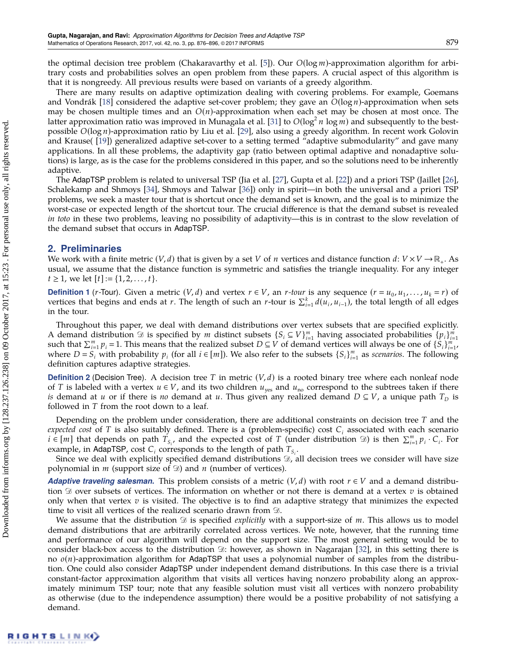the optimal decision tree problem (Chakaravarthy et al. [\[5\]](#page-20-5)). Our *O*(log *m*)-approximation algorithm for arbitrary costs and probabilities solves an open problem from these papers. A crucial aspect of this algorithm is that it is nongreedy. All previous results were based on variants of a greedy algorithm.

There are many results on adaptive optimization dealing with covering problems. For example, Goemans and Vondrák [\[18\]](#page-21-13) considered the adaptive set-cover problem; they gave an *O*(log *n*)-approximation when sets may be chosen multiple times and an *O*(*n*)-approximation when each set may be chosen at most once. The latter approximation ratio was improved in Munagala et al. [\[31\]](#page-21-14) to  $O(\log^2 n \log m)$  and subsequently to the bestpossible *O*(log *n*)-approximation ratio by Liu et al. [\[29\]](#page-21-15), also using a greedy algorithm. In recent work Golovin and Krause( [\[19\]](#page-21-16)) generalized adaptive set-cover to a setting termed "adaptive submodularity" and gave many applications. In all these problems, the adaptivity gap (ratio between optimal adaptive and nonadaptive solutions) is large, as is the case for the problems considered in this paper, and so the solutions need to be inherently adaptive.

The AdapTSP problem is related to universal TSP (Jia et al. [\[27\]](#page-21-17), Gupta et al. [\[22\]](#page-21-18)) and a priori TSP (Jaillet [\[26\]](#page-21-19), Schalekamp and Shmoys [\[34\]](#page-21-20), Shmoys and Talwar [\[36\]](#page-21-21)) only in spirit—in both the universal and a priori TSP problems, we seek a master tour that is shortcut once the demand set is known, and the goal is to minimize the worst-case or expected length of the shortcut tour. The crucial difference is that the demand subset is revealed *in toto* in these two problems, leaving no possibility of adaptivity—this is in contrast to the slow revelation of the demand subset that occurs in AdapTSP.

## <span id="page-4-1"></span>**2. Preliminaries**

We work with a finite metric  $(V, d)$  that is given by a set V of *n* vertices and distance function  $d: V \times V \to \mathbb{R}_+$ . As usual, we assume that the distance function is symmetric and satisfies the triangle inequality. For any integer *t* ≥ 1, we let  $[t] := \{1, 2, ..., t\}.$ 

**Definition 1** (*r*-Tour). Given a metric (*V*, *d*) and vertex  $r \in V$ , an *r*-tour is any sequence ( $r = u_0, u_1, \ldots, u_k = r$ ) of vertices that begins and ends at *r*. The length of such an *r*-tour is  $\sum_{i=1}^{k} d(u_i, u_{i-1})$ , the total length of all edges in the tour.

Throughout this paper, we deal with demand distributions over vertex subsets that are specified explicitly. A demand distribution  $\mathcal{D}$  is specified by *m* distinct subsets  $\{S_i \subseteq V\}_{i=1}^m$  having associated probabilities  $\{p_i\}_{i=1}^m$ such that  $\sum_{i=1}^{m} p_i = 1$ . This means that the realized subset  $D \subseteq V$  of demand vertices will always be one of  $\{S_i\}_{i=1}^{m}$ where  $D = S_i$  with probability  $p_i$  (for all  $i \in [m]$ ). We also refer to the subsets  $\{S_i\}_{i=1}^m$  as *scenarios*. The following definition captures adaptive strategies.

<span id="page-4-0"></span>**Definition 2** (Decision Tree). A decision tree *T* in metric  $(V, d)$  is a rooted binary tree where each nonleaf node of *T* is labeled with a vertex  $u \in V$ , and its two children  $u_{\text{ves}}$  and  $u_{\text{no}}$  correspond to the subtrees taken if there *is* demand at *u* or if there is *no* demand at *u*. Thus given any realized demand  $D \subseteq V$ , a unique path  $T_D$  is followed in *T* from the root down to a leaf.

Depending on the problem under consideration, there are additional constraints on decision tree *T* and the *expected cost* of *T* is also suitably defined. There is a (problem-specific) cost *C<sup>i</sup>* associated with each scenario  $i \in [m]$  that depends on path  $T_{S_i}$ , and the expected cost of *T* (under distribution  $\mathcal{D}$ ) is then  $\sum_{i=1}^m p_i \cdot C_i$ . For example, in AdapTSP, cost  $C_i$  corresponds to the length of path  $T_{S_i}$ .

Since we deal with explicitly specified demand distributions  $\mathcal{D}$ , all decision trees we consider will have size polynomial in  $m$  (support size of  $\mathfrak{D}$ ) and  $n$  (number of vertices).

*Adaptive traveling salesman.* This problem consists of a metric  $(V, d)$  with root  $r \in V$  and a demand distribution  $\mathcal D$  over subsets of vertices. The information on whether or not there is demand at a vertex  $v$  is obtained only when that vertex *v* is visited. The objective is to find an adaptive strategy that minimizes the expected time to visit all vertices of the realized scenario drawn from  $\mathfrak{D}$ .

<span id="page-4-2"></span>We assume that the distribution  $\mathcal D$  is specified *explicitly* with a support-size of *m*. This allows us to model demand distributions that are arbitrarily correlated across vertices. We note, however, that the running time and performance of our algorithm will depend on the support size. The most general setting would be to consider black-box access to the distribution  $\mathcal{D}$ : however, as shown in Nagarajan [\[32\]](#page-21-22), in this setting there is no *o*(*n*)-approximation algorithm for AdapTSP that uses a polynomial number of samples from the distribution. One could also consider AdapTSP under independent demand distributions. In this case there is a trivial constant-factor approximation algorithm that visits all vertices having nonzero probability along an approximately minimum TSP tour; note that any feasible solution must visit all vertices with nonzero probability as otherwise (due to the independence assumption) there would be a positive probability of not satisfying a demand.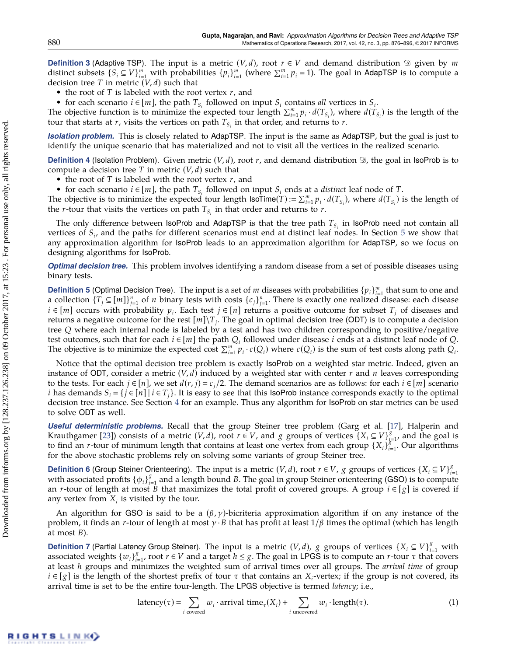**Definition 3** (Adaptive TSP). The input is a metric  $(V, d)$ , root  $r \in V$  and demand distribution  $\mathcal{D}$  given by *m* distinct subsets  $\{S_i \subseteq V\}_{i=1}^m$  with probabilities  $\{p_i\}_{i=1}^m$  (where  $\sum_{i=1}^m p_i = 1$ ). The goal in AdapTSP is to compute a decision tree *T* in metric  $(V, d)$  such that

- the root of *T* is labeled with the root vertex *r*, and
- for each scenario  $i \in [m]$ , the path  $T_{S_i}$  followed on input  $S_i$  contains *all* vertices in  $S_i$ .

The objective function is to minimize the expected tour length  $\sum_{i=1}^{m} p_i \cdot d(T_{S_i})$ , where  $d(T_{S_i})$  is the length of the tour that starts at  $r$ , visits the vertices on path  $T_{S_i}$  in that order, and returns to  $r$ .

*Isolation problem.* This is closely related to AdapTSP. The input is the same as AdapTSP, but the goal is just to identify the unique scenario that has materialized and not to visit all the vertices in the realized scenario.

<span id="page-5-2"></span>**Definition 4** (Isolation Problem). Given metric  $(V, d)$ , root r, and demand distribution  $\mathcal{D}$ , the goal in IsoProb is to compute a decision tree *T* in metric  $(V, d)$  such that

• the root of *T* is labeled with the root vertex *r*, and

• for each scenario  $i \in [m]$ , the path  $T_{S_i}$  followed on input  $S_i$  ends at a *distinct* leaf node of *T*.

The objective is to minimize the expected tour length  $\textsf{lsoTime}(T) := \sum_{i=1}^{m} p_i \cdot d(T_{S_i})$ , where  $d(T_{S_i})$  is the length of the *r*-tour that visits the vertices on path  $T_{S_i}$  in that order and returns to *r*.

The only difference between IsoProb and AdapTSP is that the tree path  $T_{S_i}$  in IsoProb need not contain all vertices of *S<sup>i</sup>* , and the paths for different scenarios must end at distinct leaf nodes. In Section [5](#page-13-0) we show that any approximation algorithm for IsoProb leads to an approximation algorithm for AdapTSP, so we focus on designing algorithms for IsoProb.

*Optimal decision tree.* This problem involves identifying a random disease from a set of possible diseases using binary tests.

<span id="page-5-0"></span>**Definition 5** (Optimal Decision Tree). The input is a set of *m* diseases with probabilities  $\{p_i\}_{i=1}^m$  that sum to one and a collection  ${T_j \subseteq [m]}_{j=1}^n$  of *n* binary tests with costs  ${c_j}_{j=1}^n$ . There is exactly one realized disease: each disease  $i \in [m]$  occurs with probability  $p_i$ . Each test  $j \in [n]$  returns a positive outcome for subset  $T_j$  of diseases and returns a negative outcome for the rest [*m*]\*T<sup>j</sup>* . The goal in optimal decision tree (ODT) is to compute a decision tree *Q* where each internal node is labeled by a test and has two children corresponding to positive/negative test outcomes, such that for each  $i \in [m]$  the path  $Q_i$  followed under disease  $i$  ends at a distinct leaf node of  $Q$ . The objective is to minimize the expected cost  $\sum_{i=1}^{m} p_i \cdot c(Q_i)$  where  $c(Q_i)$  is the sum of test costs along path  $Q_i$ .

Notice that the optimal decision tree problem is exactly IsoProb on a weighted star metric. Indeed, given an instance of ODT, consider a metric  $(V, d)$  induced by a weighted star with center  $r$  and  $n$  leaves corresponding to the tests. For each *j* ∈ [*n*], we set  $d(r, j) = c_j/2$ . The demand scenarios are as follows: for each *i* ∈ [*m*] scenario *i* has demands  $S_i = \{j \in [n] \mid i \in T_j\}$ . It is easy to see that this IsoProb instance corresponds exactly to the optimal decision tree instance. See Section [4](#page-12-0) for an example. Thus any algorithm for IsoProb on star metrics can be used to solve ODT as well.

*Useful deterministic problems.* Recall that the group Steiner tree problem (Garg et al. [\[17\]](#page-21-11), Halperin and Krauthgamer [\[23\]](#page-21-12)) consists of a metric  $(V, d)$ , root  $r \in V$ , and  $g$  groups of vertices  $\{X_i \subseteq V\}_{i=1}^g$ , and the goal is to find an *r*-tour of minimum length that contains at least one vertex from each group  $\{X_i\}_{i=1}^{g-1}$ . Our algorithms for the above stochastic problems rely on solving some variants of group Steiner tree.

<span id="page-5-3"></span>**Definition 6** (Group Steiner Orienteering). The input is a metric  $(V, d)$ , root  $r \in V$ , *g* groups of vertices  $\{X_i \subseteq V\}_{i=1}^g$ with associated profits  $\{\phi_i\}_{i=1}^g$  and a length bound *B*. The goal in group Steiner orienteering (GSO) is to compute an *r*-tour of length at most *B* that maximizes the total profit of covered groups. A group *i* ∈ [*g*] is covered if any vertex from  $X_i$  is visited by the tour.

An algorithm for GSO is said to be a  $(\beta, \gamma)$ -bicriteria approximation algorithm if on any instance of the problem, it finds an *r*-tour of length at most γ · *B* that has profit at least 1/β times the optimal (which has length at most *B*).

**Definition 7** (Partial Latency Group Steiner). The input is a metric  $(V, d)$ , *g* groups of vertices  $\{X_i \subseteq V\}_{i=1}^g$  with associated weights  $\{w_i\}_{i=1}^g$ , root  $r \in V$  and a target  $h \leq g$ . The goal in LPGS is to compute an *r*-tour  $\tau$  that covers at least *h* groups and minimizes the weighted sum of arrival times over all groups. The *arrival time* of group  $i \in [g]$  is the length of the shortest prefix of tour  $\tau$  that contains an  $X_i$ -vertex; if the group is not covered, its arrival time is set to be the entire tour-length. The LPGS objective is termed *latency*; i.e.,

<span id="page-5-1"></span>latency(
$$
\tau
$$
) =  $\sum_{i \text{ covered}} w_i \cdot \text{arrival time}_{\tau}(X_i) + \sum_{i \text{ uncovered}} w_i \cdot \text{length}(\tau).$  (1)

RIGHTS LINK()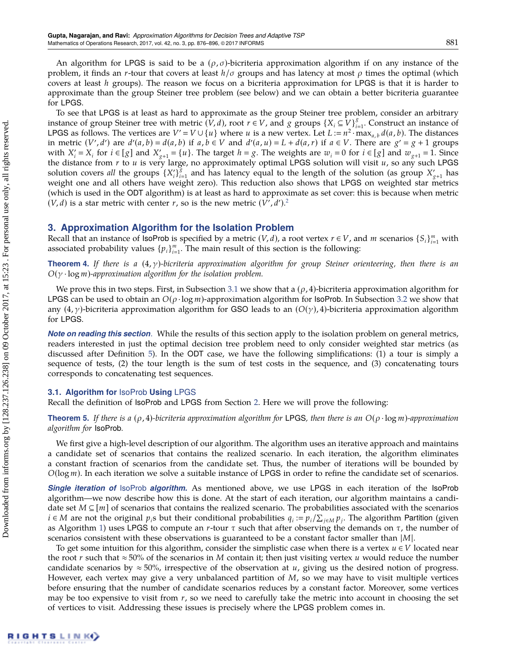An algorithm for LPGS is said to be a  $(\rho, \sigma)$ -bicriteria approximation algorithm if on any instance of the problem, it finds an *r*-tour that covers at least *h*/σ groups and has latency at most ρ times the optimal (which covers at least *h* groups). The reason we focus on a bicriteria approximation for LPGS is that it is harder to approximate than the group Steiner tree problem (see below) and we can obtain a better bicriteria guarantee for LPGS.

To see that LPGS is at least as hard to approximate as the group Steiner tree problem, consider an arbitrary instance of group Steiner tree with metric  $(V, d)$ , root  $r \in V$ , and  $g$  groups  $\{X_i \subseteq V\}_{i=1}^g$ . Construct an instance of LPGS as follows. The vertices are  $V' = V \cup \{u\}$  where *u* is a new vertex. Let  $L := n^2 \cdot max_{a,b} d(a,b)$ . The distances in metric  $(V', d')$  are  $d'(a, b) = d(a, b)$  if  $a, b \in V$  and  $d'(a, u) = L + d(a, r)$  if  $a \in V$ . There are  $g' = g + 1$  groups with  $X'_i = X_i$  for  $i \in [g]$  and  $X'_{g+1} = \{u\}$ . The target  $h = g$ . The weights are  $w_i = 0$  for  $i \in [g]$  and  $w_{g+1} = 1$ . Since the distance from *r* to *u* is very large, no approximately optimal LPGS solution will visit *u*, so any such LPGS solution covers *all* the groups  $\{X_i\}$  $G_i$ <sup> $\int_{i=1}^g$  and has latency equal to the length of the solution (as group  $X'_{g+1}$  has</sup> weight one and all others have weight zero). This reduction also shows that LPGS on weighted star metrics (which is used in the ODT algorithm) is at least as hard to approximate as set cover: this is because when metric  $(V, d)$  is a star metric with center *r*, so is the new metric  $(V', d')$ .<sup>[2](#page-20-14)</sup>

# <span id="page-6-5"></span><span id="page-6-0"></span>**3. Approximation Algorithm for the Isolation Problem**

Recall that an instance of  $\textsf{IsoProb}$  is specified by a metric  $(V, d)$ , a root vertex  $r \in V$ , and  $m$  scenarios  $\{S_i\}_{i=1}^m$  with associated probability values  $\{p_i\}_{i=1}^m$ . The main result of this section is the following:

<span id="page-6-4"></span>**Theorem 4.** *If there is a* (4, γ)*-bicriteria approximation algorithm for group Steiner orienteering, then there is an O*(γ · log *m*)*-approximation algorithm for the isolation problem.*

We prove this in two steps. First, in Subsection [3.1](#page-6-1) we show that a  $(\rho, 4)$ -bicriteria approximation algorithm for LPGS can be used to obtain an  $O(\rho \cdot \log m)$ -approximation algorithm for IsoProb. In Subsection [3.2](#page-10-0) we show that any (4, γ)-bicriteria approximation algorithm for GSO leads to an (*O*(γ), 4)-bicriteria approximation algorithm for LPGS.

*Note on reading this section*. While the results of this section apply to the isolation problem on general metrics, readers interested in just the optimal decision tree problem need to only consider weighted star metrics (as discussed after Definition [5\)](#page-5-0). In the ODT case, we have the following simplifications: (1) a tour is simply a sequence of tests, (2) the tour length is the sum of test costs in the sequence, and (3) concatenating tours corresponds to concatenating test sequences.

### <span id="page-6-1"></span>**3.1. Algorithm for** IsoProb **Using** LPGS

Recall the definition of IsoProb and LPGS from Section [2.](#page-4-1) Here we will prove the following:

<span id="page-6-3"></span>**Theorem 5.** *If there is a* (ρ, 4)*-bicriteria approximation algorithm for* LPGS*, then there is an O*(ρ · log *m*)*-approximation algorithm for* IsoProb*.*

We first give a high-level description of our algorithm. The algorithm uses an iterative approach and maintains a candidate set of scenarios that contains the realized scenario. In each iteration, the algorithm eliminates a constant fraction of scenarios from the candidate set. Thus, the number of iterations will be bounded by *O*(log *m*). In each iteration we solve a suitable instance of LPGS in order to refine the candidate set of scenarios.

*Single iteration of* IsoProb *algorithm.* As mentioned above, we use LPGS in each iteration of the IsoProb algorithm—we now describe how this is done. At the start of each iteration, our algorithm maintains a candidate set *M* ⊆ [*m*] of scenarios that contains the realized scenario. The probabilities associated with the scenarios *i* ∈ *M* are not the original  $p_i$ s but their conditional probabilities  $q_i := p_i/\sum_{j \in M} p_j$ . The algorithm Partition (given as Algorithm [1\)](#page-6-2) uses LPGS to compute an *r*-tour τ such that after observing the demands on τ, the number of scenarios consistent with these observations is guaranteed to be a constant factor smaller than |*M*|.

<span id="page-6-2"></span>To get some intuition for this algorithm, consider the simplistic case when there is a vertex *u* ∈ *V* located near the root *r* such that  $\approx$  50% of the scenarios in *M* contain it; then just visiting vertex *u* would reduce the number candidate scenarios by  $\approx 50\%$ , irrespective of the observation at *u*, giving us the desired notion of progress. However, each vertex may give a very unbalanced partition of *M*, so we may have to visit multiple vertices before ensuring that the number of candidate scenarios reduces by a constant factor. Moreover, some vertices may be too expensive to visit from *r*, so we need to carefully take the metric into account in choosing the set of vertices to visit. Addressing these issues is precisely where the LPGS problem comes in.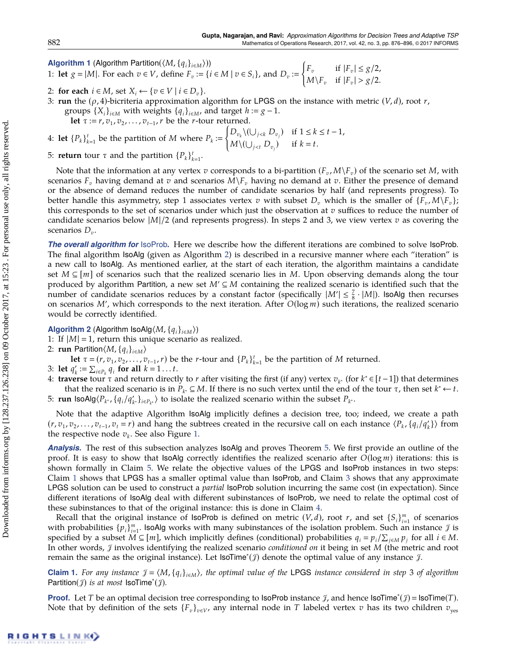**Algorithm 1** (Algorithm Partition $(\langle M, {q_i}_{i}\rangle_{i \in M})$ ))

- 1: **let** *g* = |*M*|. For each *v* ∈ *V*, define  $F_v := {i ∈ M | v ∈ S_i}$ , and  $D_v :=$  $\int F_v$  if  $|F_v| \le g/2$ ,  $M\backslash F_v$  if  $|F_v| > g/2$ .
- 2: **for each**  $i \in M$ , set  $X_i \leftarrow \{v \in V \mid i \in D_v\}$ .
- 3: **run** the ( $\rho$ , 4)-bicriteria approximation algorithm for LPGS on the instance with metric ( $V$ , *d*), root *r*, groups  $\{X_i\}_{i \in M}$  with weights  $\{q_i\}_{i \in M}$ , and target  $h := g - 1$ . let  $\tau := r, v_1, v_2, \ldots, v_{t-1}, r$  be the *r*-tour returned.
- 4: **let**  ${P_k}_{k=1}^t$  be the partition of *M* where  $P_k :=$  $\int D_{v_k} \setminus (\bigcup_{j < k} D_{v_j})$  if  $1 \leq k \leq t-1$ ,  $M \setminus (\bigcup_{j < t} D_{v_j})$  if  $k = t$ .
- 5: **return** tour  $\tau$  and the partition  $\{P_k\}_{k=1}^t$ .

Note that the information at any vertex  $v$  corresponds to a bi-partition  $(F_v, M \ F_v)$  of the scenario set  $M$ , with scenarios  $F_v$  having demand at *v* and scenarios  $M\F_v$  having no demand at *v*. Either the presence of demand or the absence of demand reduces the number of candidate scenarios by half (and represents progress). To better handle this asymmetry, step 1 associates vertex *v* with subset  $D_v$  which is the smaller of  $\{F_v, M\backslash F_v\}$ ; this corresponds to the set of scenarios under which just the observation at *v* suffices to reduce the number of candidate scenarios below |*M*|/2 (and represents progress). In steps 2 and 3, we view vertex *v* as covering the scenarios *D<sup>v</sup>* .

*The overall algorithm for* IsoProb*.* Here we describe how the different iterations are combined to solve IsoProb. The final algorithm IsoAlg (given as Algorithm [2\)](#page-7-0) is described in a recursive manner where each "iteration" is a new call to IsoAlg. As mentioned earlier, at the start of each iteration, the algorithm maintains a candidate set *M* ⊆ [*m*] of scenarios such that the realized scenario lies in *M*. Upon observing demands along the tour produced by algorithm Partition, a new set  $M' \subseteq M$  containing the realized scenario is identified such that the number of candidate scenarios reduces by a constant factor (specifically  $|M'| \leq \frac{7}{8} \cdot |M|$ ). IsoAlg then recurses on scenarios M', which corresponds to the next iteration. After  $O(\log m)$  such iterations, the realized scenario would be correctly identified.

<span id="page-7-0"></span> $\mathsf{Algorithm} 2 \text{ (Algorithm IsoAlg} \langle M, \{q_i\}_{i \in M} \rangle)$ 

1: If  $|M| = 1$ , return this unique scenario as realized.

2: **run** Partition $\langle M, \{q_i\}_{i \in M} \rangle$ 

**let**  $\tau = (r, v_1, v_2, \dots, v_{t-1}, r)$  be the *r*-tour and  $\{P_k\}_{k=1}^t$  be the partition of *M* returned.

3: **let**  $q'_{k}$  $\mathcal{L}_k := \sum_{i \in P_k} q_i$  for all  $k = 1 \dots t$ .

4: **traverse** tour  $\tau$  and return directly to  $r$  after visiting the first (if any) vertex  $v_{k^*}$  (for  $k^* \in [t-1]$ ) that determines that the realized scenario is in  $P_{k^*} \subseteq M$ . If there is no such vertex until the end of the tour  $\tau$ , then set  $k^* \leftarrow t$ . 5: **run** IsoAlg $\langle P_{k^*}, \{q_i/q'_k\}$  $(Y_{k^*})_{i \in P_{k^*}}$ ) to isolate the realized scenario within the subset  $P_{k^*}$ .

Note that the adaptive Algorithm IsoAlg implicitly defines a decision tree, too; indeed, we create a path  $(r, v_1, v_2, \ldots, v_{t-1}, v_t = r)$  and hang the subtrees created in the recursive call on each instance  $\langle P_k, \{q_i/q_k\} \rangle$  $\langle k \rangle$  from the respective node  $v_k$ . See also Figure [1.](#page-8-0)

*Analysis.* The rest of this subsection analyzes IsoAlg and proves Theorem [5.](#page-6-3) We first provide an outline of the proof. It is easy to show that IsoAlg correctly identifies the realized scenario after *O*(log *m*) iterations: this is shown formally in Claim [5.](#page-9-0) We relate the objective values of the LPGS and IsoProb instances in two steps: Claim [1](#page-7-1) shows that LPGS has a smaller optimal value than IsoProb, and Claim [3](#page-9-1) shows that any approximate LPGS solution can be used to construct a *partial* IsoProb solution incurring the same cost (in expectation). Since different iterations of IsoAlg deal with different subinstances of IsoProb, we need to relate the optimal cost of these subinstances to that of the original instance: this is done in Claim [4.](#page-9-2)

Recall that the original instance of  $\text{IsoProb}$  is defined on metric  $(V, d)$ , root  $r$ , and set  $\{S_i\}_{i=1}^m$  of scenarios with probabilities  $\{p_i\}_{i=1}^m$ . IsoAlg works with many subinstances of the isolation problem. Such an instance  $\mathcal{J}$  is specified by a subset  $\overline{M} \subseteq [m]$ , which implicitly defines (conditional) probabilities  $q_i = p_i / \sum_{j \in M} p_j$  for all  $i \in M$ . In other words, *J* involves identifying the realized scenario *conditioned on* it being in set *M* (the metric and root remain the same as the original instance). Let IsoTime\*( $\widehat{y}$ ) denote the optimal value of any instance  $\widehat{y}$ .

<span id="page-7-1"></span>**Claim 1.** *For any instance*  $\mathcal{J} = \langle M, \{q_i\}_{i \in M} \rangle$ , the optimal value of the LPGS instance considered in step 3 of algorithm  $Partition(f)$  *is at most* IsoTime<sup>\*</sup>( $\widehat{f}$ ).

**Proof.** Let *T* be an optimal decision tree corresponding to IsoProb instance  $\mathcal{J}$ , and hence IsoTime<sup>\*</sup>( $\mathcal{J}$ ) = IsoTime(*T*). Note that by definition of the sets  $\{F_v\}_{v\in V}$ , any internal node in *T* labeled vertex *v* has its two children  $v_{yes}$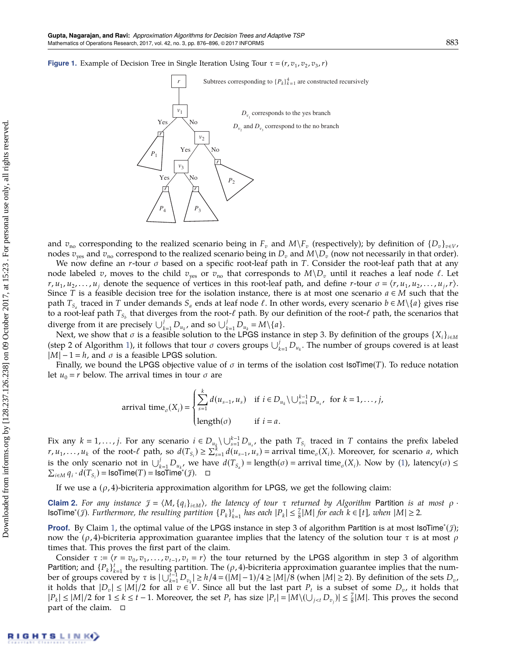<span id="page-8-0"></span>**Figure 1.** Example of Decision Tree in Single Iteration Using Tour  $\tau = (r, v_1, v_2, v_3, r)$ 



and  $v_{\text{no}}$  corresponding to the realized scenario being in  $F_v$  and  $M\backslash F_v$  (respectively); by definition of  $\{D_v\}_{v\in V}$ , nodes  $v_{\text{yes}}$  and  $v_{\text{no}}$  correspond to the realized scenario being in  $D_v$  and  $M\backslash D_v$  (now not necessarily in that order).

We now define an *r*-tour σ based on a specific root-leaf path in *T*. Consider the root-leaf path that at any node labeled *v*, moves to the child  $v_{\text{yes}}$  or  $v_{\text{no}}$  that corresponds to  $M\backslash D_v$  until it reaches a leaf node  $\ell$ . Let  $r, u_1, u_2, \ldots, u_j$  denote the sequence of vertices in this root-leaf path, and define *r*-tour  $\sigma = \langle r, u_1, u_2, \ldots, u_j, r \rangle$ . Since *T* is a feasible decision tree for the isolation instance, there is at most one scenario *a* ∈ *M* such that the path  $T_{S_a}$  traced in *T* under demands  $S_a$  ends at leaf node  $\ell$ . In other words, every scenario  $b \in M \setminus \{a\}$  gives rise to a root-leaf path  $T_{S_b}$  that diverges from the root- $\ell$  path. By our definition of the root- $\ell$  path, the scenarios that diverge from it are precisely  $\bigcup_{k=1}^{j} D_{u_k}$ , and so  $\bigcup_{k=1}^{j} D_{u_k} = M \setminus \{a\}.$ 

Next, we show that  $\sigma$  is a feasible solution to the LPGS instance in step 3. By definition of the groups  $\{X_i\}_{i\in M}$ (step 2 of Algorithm [1\)](#page-6-2), it follows that tour  $\sigma$  covers groups  $\bigcup_{k=1}^{j} D_{u_k}$ . The number of groups covered is at least  $|M| - 1 = h$ , and  $\sigma$  is a feasible LPGS solution.

Finally, we bound the LPGS objective value of  $\sigma$  in terms of the isolation cost IsoTime(*T*). To reduce notation let  $u_0 = r$  below. The arrival times in tour  $\sigma$  are

arrival time<sub>$$
\sigma
$$</sub>(X<sub>*i*</sub>) = 
$$
\begin{cases} \sum_{s=1}^{k} d(u_{s-1}, u_s) & \text{if } i \in D_{u_k} \setminus \bigcup_{s=1}^{k-1} D_{u_s}, \text{ for } k = 1, ..., j, \\ \text{length}(\sigma) & \text{if } i = a. \end{cases}
$$

Fix any  $k = 1, \ldots, j$ . For any scenario  $i \in D_{u_k} \setminus \bigcup_{s=1}^{k-1} D_{u_s}$ , the path  $T_{S_i}$  traced in  $T$  contains the prefix labeled  $r, u_1, \ldots, u_k$  of the root- $\ell$  path, so  $d(T_{S_i}) \ge \sum_{s=1}^k d(u_{s-1}, u_s)$  = arrival time<sub> $\sigma$ </sub>( $X_i$ ). Moreover, for scenario  $a$ , which is the only scenario not in  $\bigcup_{k=1}^{j} D_{u_k}$  we have  $d(T_{S_a}) = \text{length}(\sigma) = \text{arrival time}_{\sigma}(X_i)$ . Now by [\(1\)](#page-5-1), latency( $\sigma$ )  $\le$  $\sum_{i \in M} q_i \cdot d(T_{S_i})$  = IsoTime(*T*) = IsoTime<sup>∗</sup>( $\mathcal{J}$ ). □

If we use a  $(\rho, 4)$ -bicriteria approximation algorithm for LPGS, we get the following claim:

J.

**Claim 2.** *For any instance*  $\mathcal{J} = \langle M, \{q_i\}_{i \in M} \rangle$ , the latency of tour  $\tau$  returned by Algorithm Partition *is at most*  $\rho$ .  $\text{Isofime}^*(\mathcal{J})$ *. Furthermore, the resulting partition*  $\{P_k\}_{k=1}^t$  has each  $|P_k| \leq \frac{7}{8}|M|$  for each  $k \in [t]$ *, when*  $|M| \geq 2$ *.* 

Proof. By Claim [1,](#page-7-1) the optimal value of the LPGS instance in step 3 of algorithm Partition is at most IsoTime<sup>\*</sup>(∮); now the ( $ρ, 4$ )-bicriteria approximation guarantee implies that the latency of the solution tour τ is at most  $ρ$ times that. This proves the first part of the claim.

Consider  $\tau := (r = v_0, v_1, \ldots, v_{t-1}, v_t = r)$  the tour returned by the LPGS algorithm in step 3 of algorithm Partition; and  $\{P_k\}_{k=1}^t$  the resulting partition. The  $(\rho, 4)$ -bicriteria approximation guarantee implies that the number of groups covered by  $\tau$  is  $|\bigcup_{k=1}^{t-1} D_{v_k}| \ge h/4 = (|M|-1)/4 \ge |M|/8$  (when  $|M| \ge 2$ ). By definition of the sets  $D_v$ , it holds that  $|D_v| \le |M|/2$  for all  $v \in V$ . Since all but the last part  $P_t$  is a subset of some  $D_v$ , it holds that  $|P_k| \le |M|/2$  for  $1 \le k \le t-1$ . Moreover, the set  $P_t$  has size  $|P_t| = |M \setminus (\bigcup_{j \le t} D_{v_j})| \le \frac{7}{8}|M|$ . This proves the second part of the claim.  $\square$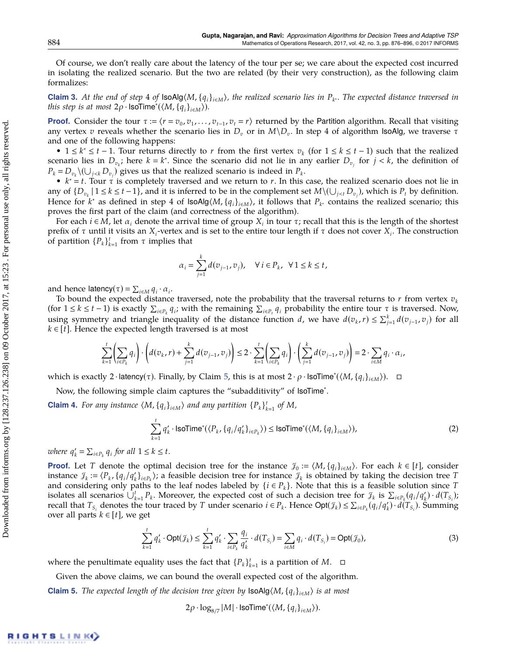Of course, we don't really care about the latency of the tour per se; we care about the expected cost incurred in isolating the realized scenario. But the two are related (by their very construction), as the following claim formalizes:

<span id="page-9-1"></span>**Claim 3.** At the end of step 4 of  $IsoAlg(M, \{q_i\}_{i\in M})$ , the realized scenario lies in  $P_k$ . The expected distance traversed in *this step is at most*  $2\rho \cdot \textsf{IsoTime}^*(\langle M, \{q_i\}_{i \in M} \rangle)$ .

**Proof.** Consider the tour  $\tau := \langle r = v_0, v_1, \dots, v_{t-1}, v_t = r \rangle$  returned by the Partition algorithm. Recall that visiting any vertex *v* reveals whether the scenario lies in  $D_v$  or in  $M\backslash D_v$ . In step 4 of algorithm IsoAlg, we traverse  $\tau$ and one of the following happens:

•  $1 \leq k^* \leq t - 1$ . Tour returns directly to *r* from the first vertex  $v_k$  (for  $1 \leq k \leq t - 1$ ) such that the realized scenario lies in  $D_{v_k}$ ; here  $k = k^*$ . Since the scenario did not lie in any earlier  $D_{v_j}$  for  $j < k$ , the definition of  $P_k = D_{v_k} \setminus ( \bigcup_{j < k} D_{v_j} )$  gives us that the realized scenario is indeed in  $P_k$ .

•  $k^* = t$ . Tour  $\tau$  is completely traversed and we return to *r*. In this case, the realized scenario does not lie in any of  $\{D_{v_k} \mid 1 \le k \le t-1\}$ , and it is inferred to be in the complement set  $M \setminus (\bigcup_{j \le t} D_{v_j})$ , which is  $P_t$  by definition. Hence for  $k^*$  as defined in step 4 of  $IsoAlg\langle M, \{q_i\}_{i\in M}\rangle$ , it follows that  $P_{k^*}$  contains the realized scenario; this proves the first part of the claim (and correctness of the algorithm).

For each  $i \in M$ , let  $\alpha_i$  denote the arrival time of group  $X_i$  in tour  $\tau$ ; recall that this is the length of the shortest prefix of τ until it visits an  $X_i$ -vertex and is set to the entire tour length if τ does not cover  $X_i$ . The construction of partition  $\{P_k\}_{k=1}^t$  from  $\tau$  implies that

$$
\alpha_i = \sum_{j=1}^k d(v_{j-1}, v_j), \quad \forall \, i \in P_k, \ \forall \, 1 \le k \le t,
$$

and hence latency( $\tau$ ) =  $\sum_{i \in M} q_i \cdot \alpha_i$ .

To bound the expected distance traversed, note the probability that the traversal returns to  $r$  from vertex  $v_k$ (for  $1 \leq k \leq t-1$ ) is exactly  $\sum_{i \in P_k} q_i$ ; with the remaining  $\sum_{i \in P_t} q_i$  probability the entire tour  $\tau$  is traversed. Now, using symmetry and triangle inequality of the distance function *d*, we have  $d(v_k, r) \leq \sum_{j=1}^k d(v_{j-1}, v_j)$  for all  $k \in [t]$ . Hence the expected length traversed is at most

$$
\sum_{k=1}^t \left(\sum_{i\in P_k} q_i\right) \cdot \left(d(v_k, r) + \sum_{j=1}^k d(v_{j-1}, v_j)\right) \leq 2 \cdot \sum_{k=1}^t \left(\sum_{i\in P_k} q_i\right) \cdot \left(\sum_{j=1}^k d(v_{j-1}, v_j)\right) = 2 \cdot \sum_{i\in M} q_i \cdot \alpha_i,
$$

which is exactly 2 · latency( $\tau$ ). Finally, by Claim [5,](#page-9-0) this is at most  $2 \cdot \rho \cdot \textsf{IsoTime}^*(\langle M, \{q_i\}_{i \in M} \rangle)$ .  $\Box$ 

Now, the following simple claim captures the "subadditivity" of IsoTime<sup>∗</sup> .

<span id="page-9-2"></span>**Claim 4.** For any instance  $\langle M, \{q_i\}_{i \in M} \rangle$  and any partition  $\{P_k\}_{k=1}^t$  of M,

$$
\sum_{k=1}^{t} q'_{k} \cdot \text{IsoTime}^{*}(\langle P_{k}, \{q_{i}/q'_{k}\}_{i \in P_{k}}\rangle) \leq \text{IsoTime}^{*}(\langle M, \{q_{i}\}_{i \in M}\rangle),\tag{2}
$$

 $where q'_k$  $\sum_{k}$  =  $\sum_{i \in P_k}$  *q<sub>i</sub>* for all  $1 \leq k \leq t$ .

**Proof.** Let *T* denote the optimal decision tree for the instance  $\mathcal{J}_0 := \langle M, \{q_i\}_{i \in M} \rangle$ . For each  $k \in [t]$ , consider instance  $\mathcal{J}_k := \langle P_k, \{q_i/q'_k\}$  $\langle k \rangle_{i \in P_k}$ ); a feasible decision tree for instance  $\mathcal{J}_k$  is obtained by taking the decision tree *T* and considering only paths to the leaf nodes labeled by  $\{i \in P_k\}$ . Note that this is a feasible solution since *T* isolates all scenarios  $\bigcup_{k=1}^{t} P_k$ . Moreover, the expected cost of such a decision tree for  $\mathcal{J}_k$  is  $\sum_{i \in P_k}(q_i/q'_k)$  $d(T_{S_i})$ ; recall that  $T_{S_i}$  denotes the tour traced by *T* under scenario  $i \in P_k$ . Hence  $Opt(\mathcal{J}_k) \leq \sum_{i \in P_k} (q_i/q'_k)$  $f_k$ )  $\cdot d(T_{S_i})$ . Summing over all parts  $k \in [t]$ , we get

$$
\sum_{k=1}^{t} q'_{k} \cdot \text{Opt}(\mathcal{J}_{k}) \le \sum_{k=1}^{t} q'_{k} \cdot \sum_{i \in P_{k}} \frac{q_{i}}{q'_{k}} \cdot d(T_{S_{i}}) = \sum_{i \in M} q_{i} \cdot d(T_{S_{i}}) = \text{Opt}(\mathcal{J}_{0}),
$$
\n(3)

where the penultimate equality uses the fact that  $\{P_k\}_{k=1}^t$  is a partition of *M*.  $\Box$ 

Given the above claims, we can bound the overall expected cost of the algorithm.

<span id="page-9-0"></span>**Claim 5.** *The expected length of the decision tree given by lsoAlg* $\langle M, {q_i}_{i} \rangle$ *<sub>i∈M</sub>* $\rangle$  *is at most* 

$$
2\rho \cdot \log_{8/7}|M| \cdot \text{IsoTime}^*(\langle M, \{q_i\}_{i \in M} \rangle).
$$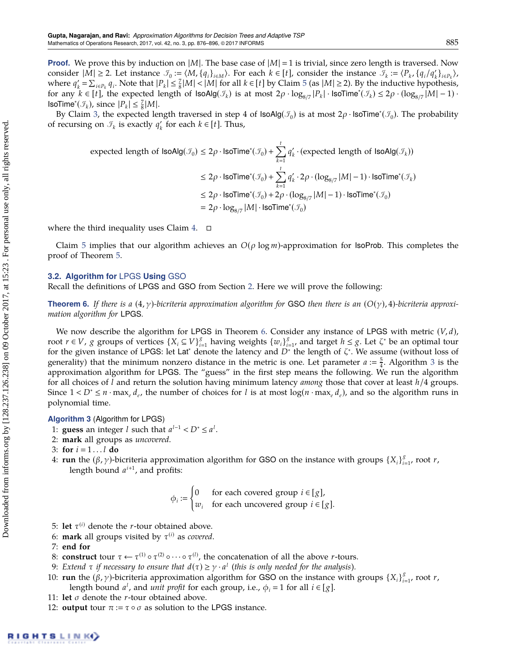**Proof.** We prove this by induction on  $|M|$ . The base case of  $|M| = 1$  is trivial, since zero length is traversed. Now consider  $|\tilde{M}| \ge 2$ . Let instance  $\mathcal{I}_0 := \langle M, \{q_i\}_{i \in M} \rangle$ . For each  $k \in [t]$ , consider the instance  $\tilde{\mathcal{I}}_k := \langle P_k, \{q_i/q'_k\}_{i \in [t]} \rangle$  $\left\langle k \right\rangle$ <sub>*i*∈*P*<sup>*k*</sup></sub> $\left\langle k \right\rangle$ , where  $q'_{k}$  $P_k = \sum_{i \in P_k} q_i$ . Note that  $|P_k| \leq \frac{7}{8} |M| < |M|$  for all  $k \in [t]$  by Claim [5](#page-9-0) (as  $|M| \geq 2$ ). By the inductive hypothesis, for any  $k \in [t]$ , the expected length of  $\text{IsoAlg}(\mathcal{I}_k)$  is at most  $2\rho \cdot \log_{8/7} |P_k| \cdot \text{IsoTime}^*(\mathcal{I}_k) \le 2\rho \cdot (\log_{8/7} |M| - 1)$ .  $\textsf{IsoTime}^*(\mathcal{I}_k)$ , since  $|P_k| \leq \frac{7}{8}|M|$ .

By Claim [3,](#page-9-1) the expected length traversed in step 4 of  $IsoAlg(\mathcal{I}_0)$  is at most  $2\rho \cdot IsoTime^*(\mathcal{I}_0)$ . The probability of recursing on  $\mathcal{I}_k$  is exactly  $q'_k$  $f_k$  for each  $k \in [t]$ . Thus,

expected length of 
$$
\text{IsoAlg}(\mathcal{I}_0) \leq 2\rho \cdot \text{IsoTime}^*(\mathcal{I}_0) + \sum_{k=1}^t q'_k \cdot (\text{expected length of } \text{IsoAlg}(\mathcal{I}_k))
$$
  
\n
$$
\leq 2\rho \cdot \text{IsoTime}^*(\mathcal{I}_0) + \sum_{k=1}^t q'_k \cdot 2\rho \cdot (\log_{8/7} |M| - 1) \cdot \text{IsoTime}^*(\mathcal{I}_k)
$$
\n
$$
\leq 2\rho \cdot \text{IsoTime}^*(\mathcal{I}_0) + 2\rho \cdot (\log_{8/7} |M| - 1) \cdot \text{IsoTime}^*(\mathcal{I}_0)
$$
\n
$$
= 2\rho \cdot \log_{8/7} |M| \cdot \text{IsoTime}^*(\mathcal{I}_0)
$$

where the third inequality uses Claim [4.](#page-9-2)  $\square$ 

Claim [5](#page-9-0) implies that our algorithm achieves an  $O(\rho \log m)$ -approximation for IsoProb. This completes the proof of Theorem [5.](#page-6-3)

#### <span id="page-10-0"></span>**3.2. Algorithm for** LPGS **Using** GSO

<span id="page-10-1"></span>Recall the definitions of LPGS and GSO from Section [2.](#page-4-1) Here we will prove the following:

**Theorem 6.** *If there is a* (4, γ)*-bicriteria approximation algorithm for* GSO *then there is an* (*O*(γ), 4)*-bicriteria approximation algorithm for* LPGS*.*

We now describe the algorithm for LPGS in Theorem [6.](#page-10-1) Consider any instance of LPGS with metric  $(V, d)$ , root  $r \in V$ , *g* groups of vertices  $\{X_i \subseteq V\}_{i=1}^g$  having weights  $\{w_i\}_{i=1}^g$ , and target  $h \leq g$ . Let  $\zeta^*$  be an optimal tour for the given instance of LPGS: let Lat<sup>\*</sup> denote the latency and  $D^*$  the length of  $\zeta^*$ . We assume (without loss of generality) that the minimum nonzero distance in the metric is one. Let parameter  $a := \frac{5}{4}$ . Algorithm [3](#page-10-2) is the approximation algorithm for LPGS. The "guess" in the first step means the following. We run the algorithm for all choices of *l* and return the solution having minimum latency *among* those that cover at least *h*/4 groups. Since  $1 < D^* \le n \cdot \max_e d_e$ , the number of choices for *l* is at most  $\log(n \cdot \max_e d_e)$ , and so the algorithm runs in polynomial time.

<span id="page-10-2"></span>**Algorithm 3** (Algorithm for LPGS)

- 1: **guess** an integer *l* such that  $a^{l-1} < D^* \le a^l$ .
- 2: **mark** all groups as *uncovered*.
- 3: **for**  $i = 1...l$  **do**
- 4: **run** the (β, γ)-bicriteria approximation algorithm for GSO on the instance with groups  $\{X_i\}_{i=1}^g$ , root *r*, length bound  $a^{i+1}$ , and profits:

$$
\phi_i := \begin{cases} 0 & \text{for each covered group } i \in [g], \\ w_i & \text{for each uncovered group } i \in [g]. \end{cases}
$$

- 5: **let**  $\tau^{(i)}$  denote the *r*-tour obtained above.
- 6: **mark** all groups visited by  $\tau^{(i)}$  as *covered*.
- 7: **end for**
- 8: **construct** tour  $\tau \leftarrow \tau^{(1)} \circ \tau^{(2)} \circ \cdots \circ \tau^{(l)}$ , the concatenation of all the above *r*-tours.
- 9: *Extend*  $\tau$  *if necessary to ensure that*  $d(\tau) \ge \gamma \cdot a^l$  (this is only needed for the analysis).
- 10: **run** the (β, γ)-bicriteria approximation algorithm for GSO on the instance with groups  $\{X_i\}_{i=1}^g$ , root *r*, length bound  $a^l$ , and *unit profit* for each group, i.e.,  $\phi_i = 1$  for all  $i \in [g]$ .
- 11: **let** σ denote the *r*-tour obtained above.
- 12: **output** tour  $\pi := \tau \circ \sigma$  as solution to the LPGS instance.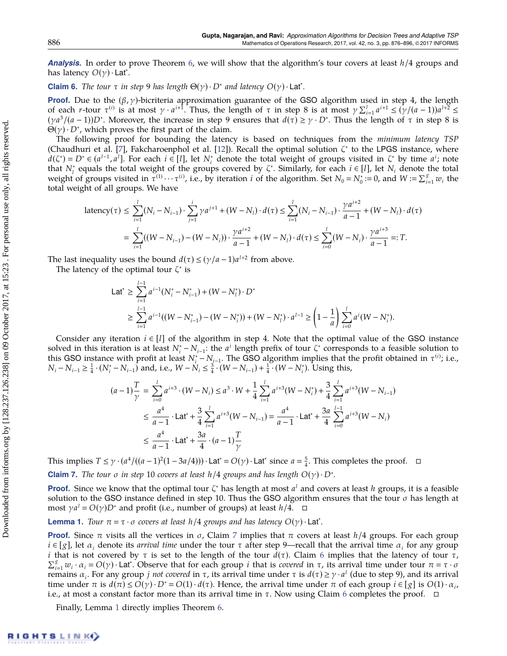*Analysis.* In order to prove Theorem [6,](#page-10-1) we will show that the algorithm's tour covers at least *h*/4 groups and has latency *O*(γ) · Lat<sup>∗</sup> .

<span id="page-11-1"></span>**Claim 6.** *The tour*  $\tau$  *in step* 9 *has length*  $\Theta(\gamma) \cdot D^*$  *and latency*  $O(\gamma) \cdot Lat^*$ *.* 

**Proof.** Due to the  $(\beta, \gamma)$ -bicriteria approximation guarantee of the GSO algorithm used in step 4, the length of each *r*-tour  $\tau^{(i)}$  is at most  $\gamma \cdot a^{i+\overline{1}}$ . Thus, the length of  $\tau$  in step 8 is at most  $\gamma \sum_{i=1}^{l} a^{i+1} \leq (\gamma/(a-1))a^{1+\gamma} \leq$ (γa<sup>3</sup>/(a − 1))D<sup>\*</sup>. Moreover, the increase in step 9 ensures that  $d(τ) ≥ γ · D<sup>*</sup>$ . Thus the length of τ in step 8 is  $\Theta(\gamma) \cdot D^*$ , which proves the first part of the claim.

The following proof for bounding the latency is based on techniques from the *minimum latency TSP* (Chaudhuri et al. [\[7\]](#page-20-9), Fakcharoenphol et al. [\[12\]](#page-20-10)). Recall the optimal solution ζ ∗ to the LPGS instance, where  $d(\zeta^*) = D^* \in (a^{l-1}, a^l]$ . For each  $i \in [l]$ , let  $N_i^*$  denote the total weight of groups visited in  $\zeta^*$  by time  $a^i$ ; note that  $N_i^*$  equals the total weight of the groups covered by  $\zeta^*$ . Similarly, for each  $i \in [l]$ , let  $N_i$  denote the total weight of groups visited in  $\tau^{(1)} \cdots \tau^{(i)}$ , i.e., by iteration *i* of the algorithm. Set  $N_0 = N_0^* := 0$ , and  $W := \sum_{i=1}^g w_i$  the total weight of all groups. We have

$$
\begin{split} \text{latency}(\tau) &\leq \sum_{i=1}^{l} (N_i - N_{i-1}) \cdot \sum_{j=1}^{i} \gamma a^{j+1} + (W - N_l) \cdot d(\tau) \leq \sum_{i=1}^{l} (N_i - N_{i-1}) \cdot \frac{\gamma a^{i+2}}{a-1} + (W - N_l) \cdot d(\tau) \\ &= \sum_{i=1}^{l} ((W - N_{i-1}) - (W - N_i)) \cdot \frac{\gamma a^{i+2}}{a-1} + (W - N_l) \cdot d(\tau) \leq \sum_{i=0}^{l} (W - N_i) \cdot \frac{\gamma a^{i+3}}{a-1} =: T. \end{split}
$$

The last inequality uses the bound  $d(\tau) \leq (\gamma/a - 1)a^{1+2}$  from above.

The latency of the optimal tour  $\zeta^*$  is

$$
\begin{split} \mathsf{Lat}^* &\geq \sum_{i=1}^{l-1} a^{i-1} (N_i^* - N_{i-1}^*) + (W - N_i^*) \cdot D^* \\ &\geq \sum_{i=1}^{l-1} a^{i-1} ((W - N_{i-1}^*) - (W - N_i^*)) + (W - N_i^*) \cdot a^{l-1} \geq \left(1 - \frac{1}{a}\right) \sum_{i=0}^{l} a^i (W - N_i^*). \end{split}
$$

Consider any iteration  $i \in [l]$  of the algorithm in step 4. Note that the optimal value of the GSO instance solved in this iteration is at least  $N_i^* - N_{i-1}$ : the  $a^i$  length prefix of tour  $\zeta^*$  corresponds to a feasible solution to this GSO instance with profit at least  $N_i^* - N_{i-1}$ . The GSO algorithm implies that the profit obtained in  $\tau^{(i)}$ ; i.e.,  $N_i - N_{i-1} \geq \frac{1}{4} \cdot (N_i^* - N_{i-1})$  and, i.e.,  $W - N_i \leq \frac{3}{4} \cdot (W - N_{i-1}) + \frac{1}{4} \cdot (W - N_i^*)$ . Using this,

$$
(a-1)\frac{T}{\gamma} = \sum_{i=0}^{l} a^{i+3} \cdot (W - N_i) \le a^3 \cdot W + \frac{1}{4} \sum_{i=1}^{l} a^{i+3} (W - N_i^*) + \frac{3}{4} \sum_{i=1}^{l} a^{i+3} (W - N_{i-1})
$$
  

$$
\le \frac{a^4}{a-1} \cdot \text{Lat}^* + \frac{3}{4} \sum_{i=1}^{l} a^{i+3} (W - N_{i-1}) = \frac{a^4}{a-1} \cdot \text{Lat}^* + \frac{3a}{4} \sum_{i=0}^{l-1} a^{i+3} (W - N_i)
$$
  

$$
\le \frac{a^4}{a-1} \cdot \text{Lat}^* + \frac{3a}{4} \cdot (a-1) \frac{T}{\gamma}
$$

This implies  $T \le \gamma \cdot (a^4/((a-1)^2(1-3a/4))) \cdot \text{Lat}^* = O(\gamma) \cdot \text{Lat}^*$  since  $a = \frac{5}{4}$ . This completes the proof.  $\Box$ 

<span id="page-11-0"></span>**Claim 7.** *The tour*  $\sigma$  *in step* 10 *covers at least*  $h/4$  *groups and has length*  $O(\gamma) \cdot D^*$ *.* 

**Proof.** Since we know that the optimal tour ζ <sup>∗</sup> has length at most *a <sup>l</sup>* and covers at least *h* groups, it is a feasible solution to the GSO instance defined in step 10. Thus the GSO algorithm ensures that the tour  $\sigma$  has length at most  $\gamma a^1 = O(\gamma)D^*$  and profit (i.e., number of groups) at least  $h/4$ .  $\Box$ 

<span id="page-11-2"></span>**Lemma 1.** *Tour*  $\pi = \tau \cdot \sigma$  *covers at least h*/4 *groups and has latency*  $O(\gamma) \cdot$  Lat<sup>\*</sup>.

**Proof.** Since  $\pi$  visits all the vertices in  $\sigma$ , Claim [7](#page-11-0) implies that  $\pi$  covers at least  $h/4$  groups. For each group  $i \in [g]$ , let  $\alpha_i$  denote its *arrival time* under the tour  $\tau$  after step 9—recall that the arrival time  $\alpha_i$  for any group *i* that is not covered by  $\tau$  is set to the length of the tour  $d(\tau)$ . Claim [6](#page-11-1) implies that the latency of tour  $\tau$ ,  $\sum_{i=1}^{g} w_i \cdot \alpha_i = O(\gamma) \cdot$  Lat<sup>\*</sup>. Observe that for each group *i* that is *covered* in  $\tau$ , its arrival time under tour  $\pi = \tau \cdot \sigma$ remains  $α_i$ . For any group *j not covered* in τ, its arrival time under τ is  $d(τ) ≥ γ · a<sup>1</sup>$  (due to step 9), and its arrival time under  $\pi$  is  $d(\pi) \le O(\gamma) \cdot D^* = O(1) \cdot d(\tau)$ . Hence, the arrival time under  $\pi$  of each group  $i \in [g]$  is  $O(1) \cdot \alpha_i$ , i.e., at most a constant factor more than its arrival time in  $\tau$ . Now using Claim [6](#page-11-1) completes the proof.  $\Box$ 

Finally, Lemma [1](#page-11-2) directly implies Theorem [6.](#page-10-1)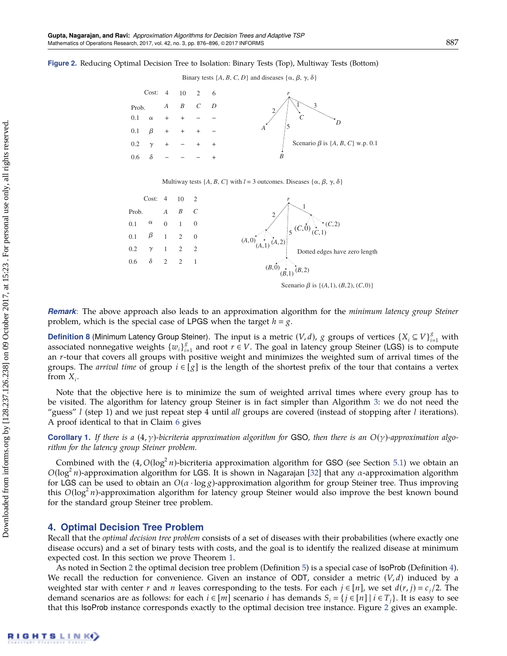<span id="page-12-1"></span>**Figure 2.** Reducing Optimal Decision Tree to Isolation: Binary Tests (Top), Multiway Tests (Bottom)

Binary tests  $\{A, B, C, D\}$  and diseases  $\{\alpha, \beta, \gamma, \delta\}$ 



Multiway tests  $\{A, B, C\}$  with  $l = 3$  outcomes. Diseases  $\{\alpha, \beta, \gamma, \delta\}$ 



*Remark*: The above approach also leads to an approximation algorithm for the *minimum latency group Steiner* problem, which is the special case of LPGS when the target  $h = g$ .

<span id="page-12-2"></span>**Definition 8** (Minimum Latency Group Steiner). The input is a metric  $(V, d)$ , *g* groups of vertices  $\{X_i \subseteq V\}_{i=1}^g$  with associated nonnegative weights  $\{w_i\}_{i=1}^g$  and root  $r \in V$ . The goal in latency group Steiner (LGS) is to compute an *r*-tour that covers all groups with positive weight and minimizes the weighted sum of arrival times of the groups. The *arrival time* of group  $i \in [g]$  is the length of the shortest prefix of the tour that contains a vertex from *X<sup>i</sup>* .

Note that the objective here is to minimize the sum of weighted arrival times where every group has to be visited. The algorithm for latency group Steiner is in fact simpler than Algorithm [3:](#page-10-2) we do not need the "guess" *l* (step 1) and we just repeat step 4 until *all* groups are covered (instead of stopping after *l* iterations). A proof identical to that in Claim [6](#page-11-1) gives

<span id="page-12-3"></span>**Corollary 1.** *If there is a* (4, γ)*-bicriteria approximation algorithm for* GSO*, then there is an O*(γ)*-approximation algorithm for the latency group Steiner problem.*

Combined with the  $(4, O(\log^2 n)$ -bicriteria approximation algorithm for GSO (see Section [5.1\)](#page-13-1) we obtain an *O*(log<sup>2</sup> *n*)-approximation algorithm for LGS. It is shown in Nagarajan [\[32\]](#page-21-22) that any α-approximation algorithm for LGS can be used to obtain an *O*(α · log *g*)-approximation algorithm for group Steiner tree. Thus improving this  $O(\log^2 n)$ -approximation algorithm for latency group Steiner would also improve the best known bound for the standard group Steiner tree problem.

## <span id="page-12-0"></span>**4. Optimal Decision Tree Problem**

Recall that the *optimal decision tree problem* consists of a set of diseases with their probabilities (where exactly one disease occurs) and a set of binary tests with costs, and the goal is to identify the realized disease at minimum expected cost. In this section we prove Theorem [1.](#page-2-1)

As noted in Section [2](#page-4-1) the optimal decision tree problem (Definition [5\)](#page-5-0) is a special case of IsoProb (Definition [4\)](#page-5-2). We recall the reduction for convenience. Given an instance of ODT, consider a metric  $(V, d)$  induced by a weighted star with center *r* and *n* leaves corresponding to the tests. For each  $j \in [n]$ , we set  $d(r, j) = c_j/2$ . The demand scenarios are as follows: for each  $i \in [m]$  scenario  $i$  has demands  $S_i = \{j \in [n] | i \in T_j\}$ . It is easy to see that this IsoProb instance corresponds exactly to the optimal decision tree instance. Figure [2](#page-12-1) gives an example.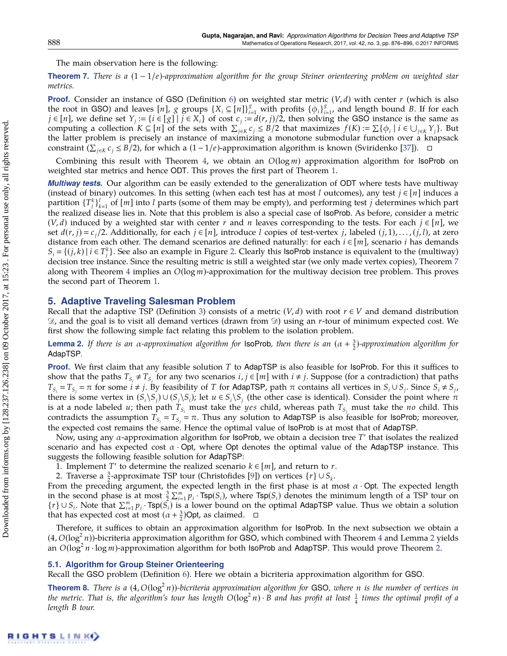The main observation here is the following:

<span id="page-13-2"></span>**Theorem 7.** *There is a* (1 − 1/*e*)*-approximation algorithm for the group Steiner orienteering problem on weighted star metrics.*

**Proof.** Consider an instance of GSO (Definition [6\)](#page-5-3) on weighted star metric (*V*, *d*) with center *r* (which is also the root in GSO) and leaves  $[n]$ , *g* groups  $\{X_i \subseteq [n]\}_{i=1}^g$  with profits  $\{\phi_i\}_{i=1}^g$ , and length bound *B*. If for each *j* ∈ [*n*], we define set  $Y_j := \{i \in [g] \mid j \in X_i\}$  of cost  $c_j := d(r, j)/2$ , then solving the GSO instance is the same as computing a collection  $K \subseteq [n]$  of the sets with  $\sum_{j\in K} c_j \leq B/2$  that maximizes  $f(K) := \sum \{\phi_i \mid i \in \bigcup_{j\in K} Y_j\}$ . But the latter problem is precisely an instance of maximizing a monotone submodular function over a knapsack constraint  $(\sum_{j\in K} c_j \leq B/2)$ , for which a  $(1-1/e)$ -approximation algorithm is known (Sviridenko [\[37\]](#page-21-23)). □

Combining this result with Theorem [4,](#page-6-4) we obtain an *O*(log *m*) approximation algorithm for IsoProb on weighted star metrics and hence ODT. This proves the first part of Theorem [1.](#page-2-1)

*Multiway tests.* Our algorithm can be easily extended to the generalization of ODT where tests have multiway (instead of binary) outcomes. In this setting (when each test has at most *l* outcomes), any test *j* ∈ [*n*] induces a partition  $\{T_j^k\}_{k=1}^l$  of  $[m]$  into *l* parts (some of them may be empty), and performing test *j* determines which part the realized disease lies in. Note that this problem is also a special case of IsoProb. As before, consider a metric  $(V, d)$  induced by a weighted star with center *r* and *n* leaves corresponding to the tests. For each  $j \in [n]$ , we set  $d(r, j) = c_j/2$ . Additionally, for each  $j \in [n]$ , introduce *l* copies of test-vertex *j*, labeled  $(j, 1), \ldots, (j, l)$ , at zero distance from each other. The demand scenarios are defined naturally: for each *i* ∈ [*m*], scenario *i* has demands  $S_i = \{(j, k) | i \in T_j^k\}$ . See also an example in Figure [2.](#page-12-1) Clearly this IsoProb instance is equivalent to the (multiway) decision tree instance. Since the resulting metric is still a weighted star (we only made vertex copies), Theorem [7](#page-13-2) along with Theorem [4](#page-6-4) implies an *O*(log *m*)-approximation for the multiway decision tree problem. This proves the second part of Theorem [1.](#page-2-1)

## <span id="page-13-0"></span>**5. Adaptive Traveling Salesman Problem**

Recall that the adaptive TSP (Definition [3\)](#page-4-2) consists of a metric  $(V, d)$  with root  $r \in V$  and demand distribution  $\mathcal{D}$ , and the goal is to visit all demand vertices (drawn from  $\mathcal{D}$ ) using an *r*-tour of minimum expected cost. We first show the following simple fact relating this problem to the isolation problem.

<span id="page-13-3"></span>**Lemma 2.** *If there is an* α*-approximation algorithm for* IsoProb*, then there is an* (α + 3 2 )*-approximation algorithm for* AdapTSP*.*

**Proof.** We first claim that any feasible solution *T* to AdapTSP is also feasible for IsoProb. For this it suffices to show that the paths  $T_{S_i} \neq T_{S_j}$  for any two scenarios  $i, j \in [m]$  with  $i \neq j$ . Suppose (for a contradiction) that paths  $T_{S_i} = T_{S_j} = \pi$  for some  $i \neq j$ . By feasibility of T for AdapTSP, path  $\pi$  contains all vertices in  $S_i \cup S_j$ . Since  $S_i \neq S_j$ , there is some vertex in  $(S_i \backslash S_j) \cup (S_j \backslash S_i)$ ; let  $u \in S_i \backslash S_j$  (the other case is identical). Consider the point where  $\pi$ is at a node labeled  $u$ ; then path  $T_{S_i}$  must take the  $yes$  child, whereas path  $T_{S_j}$  must take the  $no$  child. This contradicts the assumption  $T_{S_i} = T_{S_j} = \pi$ . Thus any solution to AdapTSP is also feasible for IsoProb; moreover, the expected cost remains the same. Hence the optimal value of IsoProb is at most that of AdapTSP.

Now, using any  $\alpha$ -approximation algorithm for IsoProb, we obtain a decision tree  $T'$  that isolates the realized scenario and has expected cost  $\alpha \cdot$  Opt, where Opt denotes the optimal value of the AdapTSP instance. This suggests the following feasible solution for AdapTSP:

1. Implement *T'* to determine the realized scenario  $k \in [m]$ , and return to *r*.

2. Traverse a  $\frac{3}{2}$ -approximate TSP tour (Christofides [\[9\]](#page-20-15)) on vertices  $\{r\} \cup S_k$ .

From the preceding argument, the expected length in the first phase is at most  $\alpha$  · Opt. The expected length in the second phase is at most  $\frac{3}{2} \sum_{i=1}^{m} p_i$ . Tsp(*S<sub>i</sub>*), where Tsp(*S<sub>i</sub>*) denotes the minimum length of a TSP tour on  $\{r\} \cup S_i$ . Note that  $\sum_{i=1}^m p_i \cdot \text{Tsp}(\hat{S}_i)$  is a lower bound on the optimal AdapTSP value. Thus we obtain a solution that has expected cost at most  $(\alpha + \frac{3}{2})$ Opt, as claimed.  $\square$ 

Therefore, it suffices to obtain an approximation algorithm for IsoProb. In the next subsection we obtain a ([4](#page-6-4), *O*(log<sup>[2](#page-13-3)</sup> *n*))-bicriteria approximation algorithm for GSO, which combined with Theorem 4 and Lemma 2 yields an  $O(\log^2 n \cdot \log m)$ -approximation algorithm for both IsoProb and AdapTSP. This would prove Theorem [2.](#page-2-0)

### <span id="page-13-1"></span>**5.1. Algorithm for Group Steiner Orienteering**

Recall the GSO problem (Definition [6\)](#page-5-3). Here we obtain a bicriteria approximation algorithm for GSO.

<span id="page-13-4"></span>**Theorem 8.** There is a  $(4, O(\log^2 n))$ -bicriteria approximation algorithm for GSO, where n is the number of vertices in the metric. That is, the algorithm's tour has length  $O(\log^2 n)\cdot B$  and has profit at least  $\frac{1}{4}$  times the optimal profit of a *length B tour.*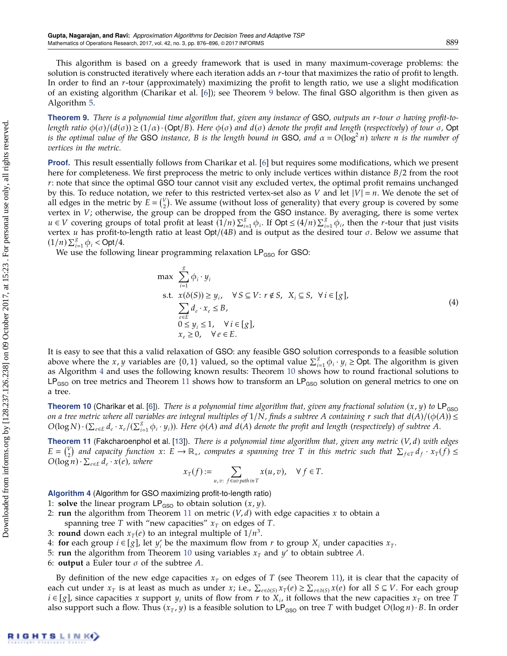This algorithm is based on a greedy framework that is used in many maximum-coverage problems: the solution is constructed iteratively where each iteration adds an *r*-tour that maximizes the ratio of profit to length. In order to find an *r*-tour (approximately) maximizing the profit to length ratio, we use a slight modification of an existing algorithm (Charikar et al. [\[6\]](#page-20-7)); see Theorem [9](#page-14-0) below. The final GSO algorithm is then given as Algorithm [5.](#page-15-0)

<span id="page-14-0"></span>**Theorem 9.** *There is a polynomial time algorithm that, given any instance of* GSO*, outputs an r-tour* σ *having profit-tolength ratio*  $\phi(\sigma)/(d(\sigma)) \geq (1/\alpha) \cdot (Opt/B)$ *. Here*  $\phi(\sigma)$  *and*  $d(\sigma)$  *denote the profit and length (respectively) of tour σ*, Opt *is the optimal value of the GSO instance, B is the length bound in GSO, and*  $\alpha = O(\log^2 n)$  *where n is the number of vertices in the metric.*

**Proof.** This result essentially follows from Charikar et al. [\[6\]](#page-20-7) but requires some modifications, which we present here for completeness. We first preprocess the metric to only include vertices within distance *B*/2 from the root *r*: note that since the optimal GSO tour cannot visit any excluded vertex, the optimal profit remains unchanged by this. To reduce notation, we refer to this restricted vertex-set also as *V* and let  $|V| = n$ . We denote the set of all edges in the metric by  $E = \binom{V}{2}$ . We assume (without loss of generality) that every group is covered by some vertex in *V*; otherwise, the group can be dropped from the GSO instance. By averaging, there is some vertex  $u \in V$  covering groups of total profit at least  $(1/n) \sum_{i=1}^{g} \phi_i$ . If Opt  $\leq (4/n) \sum_{i=1}^{g} \phi_i$ , then the *r*-tour that just visits vertex *u* has profit-to-length ratio at least Opt/(4*B*) and is output as the desired tour σ. Below we assume that  $(1/n) \sum_{i=1}^{g} \phi_i$  < Opt/4.

We use the following linear programming relaxation  $LP_{GSO}$  for GSO:

$$
\max \sum_{i=1}^{S} \phi_i \cdot y_i
$$
\n
$$
\text{s.t. } x(\delta(S)) \ge y_i, \quad \forall S \subseteq V: r \notin S, \ X_i \subseteq S, \ \forall i \in [g],
$$
\n
$$
\sum_{e \in E} d_e \cdot x_e \le B,
$$
\n
$$
0 \le y_i \le 1, \quad \forall i \in [g],
$$
\n
$$
x_e \ge 0, \quad \forall e \in E.
$$
\n
$$
(4)
$$

It is easy to see that this a valid relaxation of GSO: any feasible GSO solution corresponds to a feasible solution above where the *x*, *y* variables are {0, 1} valued, so the optimal value  $\sum_{i=1}^{g} \phi_i \cdot y_i \ge 0$  pt. The algorithm is given as Algorithm [4](#page-14-1) and uses the following known results: Theorem [10](#page-14-2) shows how to round fractional solutions to  $LP_{GSO}$  on tree metrics and Theorem [11](#page-14-3) shows how to transform an  $LP_{GSO}$  solution on general metrics to one on a tree.

<span id="page-14-2"></span>**Theorem 10** (Charikar et al. [\[6\]](#page-20-7)). *There is a polynomial time algorithm that, given any fractional solution*  $(x, y)$  to  $LP_{\text{GSO}}$ *on a tree metric where all variables are integral multiples of*  $1/N$ *, finds a subtree A containing r such that*  $d(A)/(\phi(A)) \leq$  $O(\log N) \cdot (\sum_{e \in E} d_e \cdot x_e/(\sum_{i=1}^g \phi_i \cdot y_i))$ . Here  $\phi(A)$  and  $d(A)$  denote the profit and length (respectively) of subtree A.

<span id="page-14-3"></span>**Theorem 11** (Fakcharoenphol et al. [\[13\]](#page-20-16)). *There is a polynomial time algorithm that, given any metric* (*V*, *d*) *with edges*  $E = {V \choose 2}$  and capacity function  $x: E \to \mathbb{R}_+$ , computes a spanning tree *T* in this metric such that  $\sum_{f \in T} d_f \cdot x_T(f) \le$  $O(\log n) \cdot \sum_{e \in E} d_e \cdot x(e)$ , where

$$
x_T(f) := \sum_{u,v: f \in uv \text{ path in } T} x(u,v), \quad \forall f \in T.
$$

<span id="page-14-1"></span>**Algorithm 4** (Algorithm for GSO maximizing profit-to-length ratio)

- 1: **solve** the linear program  $LP_{GSO}$  to obtain solution  $(x, y)$ .
- 2: **run** the algorithm from Theorem [11](#page-14-3) on metric  $(V, d)$  with edge capacities  $x$  to obtain a spanning tree *T* with "new capacities"  $x_T$  on edges of *T*.
- 3: **round** down each  $x_T(e)$  to an integral multiple of  $1/n^3$ .
- 4: **for** each group  $i \in [g]$ , let  $y_i'$  $\alpha'$  be the maximum flow from  $r$  to group  $X_i$  under capacities  $x_T$ .
- 5: **run** the algorithm from Theorem [10](#page-14-2) using variables  $x_T$  and  $y'$  to obtain subtree A.
- 6: **output** a Euler tour σ of the subtree *A*.

By definition of the new edge capacities  $x_T$  on edges of *T* (see Theorem [11\)](#page-14-3), it is clear that the capacity of each cut under  $x_T$  is at least as much as under *x*; i.e.,  $\sum_{e \in \delta(S)} x_T(e) \ge \sum_{e \in \delta(S)} x(e)$  for all  $S \subseteq V$ . For each group  $i \in [g]$ , since capacities *x* support  $y_i$  units of flow from *r* to  $X_i$ , it follows that the new capacities  $x_T$  on tree  $\overline{T}$ also support such a flow. Thus  $(x_T, y)$  is a feasible solution to  $LP_{\rm GSO}$  on tree  $T$  with budget  $O(\log n) \cdot B$ . In order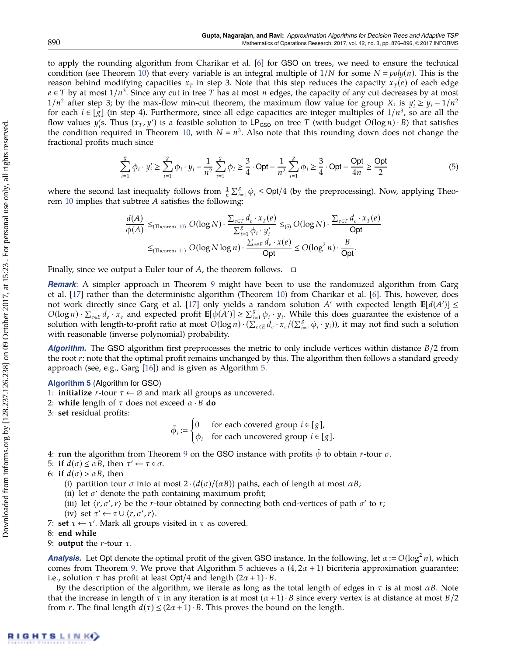to apply the rounding algorithm from Charikar et al. [\[6\]](#page-20-7) for GSO on trees, we need to ensure the technical condition (see Theorem [10\)](#page-14-2) that every variable is an integral multiple of  $1/N$  for some  $N = poly(n)$ . This is the reason behind modifying capacities  $x_T$  in step 3. Note that this step reduces the capacity  $x_T(e)$  of each edge *e* ∈ *T* by at most 1/*n*<sup>3</sup>. Since any cut in tree *T* has at most *n* edges, the capacity of any cut decreases by at most 1/*n*<sup>2</sup> after step 3; by the max-flow min-cut theorem, the maximum flow value for group  $X_i$  is  $y_i' \ge y_i - 1/n^2$ for each  $i \in [g]$  (in step 4). Furthermore, since all edge capacities are integer multiples of  $1/n^3$ , so are all the flow values  $y_i$ *i*<sub>s</sub>. Thus  $(x_T, y')$  is a feasible solution to  $LP_{\text{GSO}}$  on tree *T* (with budget  $O(\log n) \cdot B$ ) that satisfies the condition required in Theorem [10,](#page-14-2) with  $N = n<sup>3</sup>$ . Also note that this rounding down does not change the fractional profits much since

<span id="page-15-1"></span>
$$
\sum_{i=1}^{8} \phi_i \cdot y_i' \ge \sum_{i=1}^{8} \phi_i \cdot y_i - \frac{1}{n^2} \sum_{i=1}^{8} \phi_i \ge \frac{3}{4} \cdot \text{Opt} - \frac{1}{n^2} \sum_{i=1}^{8} \phi_i \ge \frac{3}{4} \cdot \text{Opt} - \frac{\text{Opt}}{4n} \ge \frac{\text{Opt}}{2}
$$
(5)

where the second last inequality follows from  $\frac{1}{n}\sum_{i=1}^{g}\phi_i \leq \frac{Opt}{4}$  (by the preprocessing). Now, applying Theorem [10](#page-14-2) implies that subtree *A* satisfies the following:

$$
\frac{d(A)}{\phi(A)} \leq_{\text{(Theorem 10)}} O(\log N) \cdot \frac{\sum_{e \in T} d_e \cdot x_T(e)}{\sum_{i=1}^s \phi_i \cdot y'_i} \leq_{(5)} O(\log N) \cdot \frac{\sum_{e \in T} d_e \cdot x_T(e)}{\text{Opt}}
$$
\n
$$
\leq_{\text{(Theorem 11)}} O(\log N \log n) \cdot \frac{\sum_{e \in E} d_e \cdot x(e)}{\text{Opt}} \leq O(\log^2 n) \cdot \frac{B}{\text{Opt}}.
$$

Finally, since we output a Euler tour of  $A$ , the theorem follows.  $\Box$ 

*Remark*: A simpler approach in Theorem [9](#page-14-0) might have been to use the randomized algorithm from Garg et al. [\[17\]](#page-21-11) rather than the deterministic algorithm (Theorem [10\)](#page-14-2) from Charikar et al. [\[6\]](#page-20-7). This, however, does not work directly since Garg et al. [\[17\]](#page-21-11) only yields a random solution *A'* with expected length  $\mathbf{E}[d(A')] \leq$  $O(\log n) \cdot \sum_{e \in E} d_e \cdot x_e$  and expected profit  $\mathbf{E}[\phi(A')] \geq \sum_{i=1}^{g} \phi_i \cdot y_i$ . While this does guarantee the existence of a solution with length-to-profit ratio at most  $O(\log n) \cdot (\sum_{e \in E}^{r-1} d_e \cdot x_e/(\sum_{i=1}^{g} \phi_i \cdot y_i))$ , it may not find such a solution with reasonable (inverse polynomial) probability.

*Algorithm.* The GSO algorithm first preprocesses the metric to only include vertices within distance *B*/2 from the root *r*: note that the optimal profit remains unchanged by this. The algorithm then follows a standard greedy approach (see, e.g., Garg [\[16\]](#page-20-17)) and is given as Algorithm [5.](#page-15-0)

## <span id="page-15-0"></span>**Algorithm 5** (Algorithm for GSO)

- 1: **initialize** *r*-tour  $\tau \leftarrow \emptyset$  and mark all groups as uncovered.
- 2: **while** length of  $\tau$  does not exceed  $\alpha \cdot B$  **do**
- 3: **set** residual profits:

$$
\tilde{\phi}_i := \begin{cases} 0 & \text{for each covered group } i \in [g], \\ \phi_i & \text{for each uncovered group } i \in [g]. \end{cases}
$$

- 4: **run** the algorithm from Theorem [9](#page-14-0) on the GSO instance with profits  $\tilde{\phi}$  to obtain *r*-tour  $\sigma$ .
- 5: **if**  $d(\sigma) \le \alpha B$ , then  $\tau' \leftarrow \tau \circ \sigma$ .
- 6: **if**  $d(\sigma) > \alpha B$ , then
	- (i) partition tour  $\sigma$  into at most  $2 \cdot (d(\sigma)/(\alpha B))$  paths, each of length at most  $\alpha B$ ;
	- (ii) let  $\sigma'$  denote the path containing maximum profit;
	- (iii) let  $\langle r, \sigma', r \rangle$  be the *r*-tour obtained by connecting both end-vertices of path  $\sigma'$  to *r*;
	- (iv) set  $\tau' \leftarrow \tau \cup \langle r, \sigma', r \rangle$ .
- 7: **set**  $\tau \leftarrow \tau'$ . Mark all groups visited in  $\tau$  as covered.
- 8: **end while**
- 9: **output** the *r*-tour τ.

**Analysis.** Let Opt denote the optimal profit of the given GSO instance. In the following, let  $\alpha := O(\log^2 n)$ , which comes from Theorem [9.](#page-14-0) We prove that Algorithm [5](#page-15-0) achieves a  $(4, 2\alpha + 1)$  bicriteria approximation guarantee; i.e., solution  $\tau$  has profit at least Opt/4 and length  $(2\alpha + 1) \cdot B$ .

By the description of the algorithm, we iterate as long as the total length of edges in  $\tau$  is at most  $\alpha B$ . Note that the increase in length of  $\tau$  in any iteration is at most  $(\alpha + 1) \cdot B$  since every vertex is at distance at most  $B/2$ from *r*. The final length  $d(\tau) \leq (2\alpha + 1) \cdot B$ . This proves the bound on the length.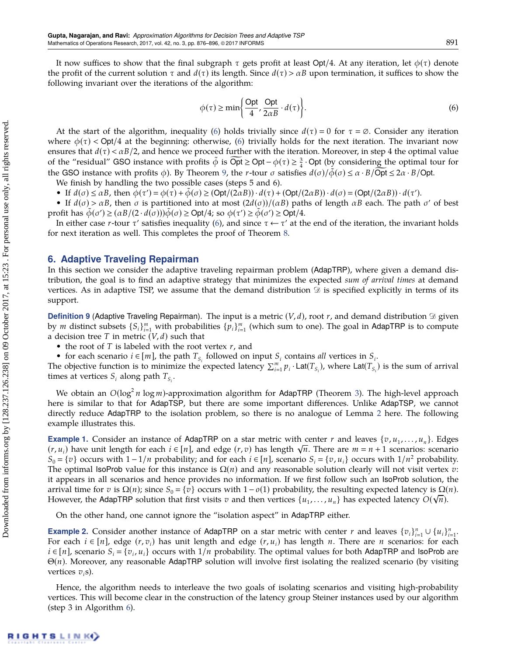It now suffices to show that the final subgraph  $\tau$  gets profit at least Opt/4. At any iteration, let  $\phi(\tau)$  denote the profit of the current solution  $\tau$  and  $d(\tau)$  its length. Since  $d(\tau) > \alpha B$  upon termination, it suffices to show the following invariant over the iterations of the algorithm:

<span id="page-16-1"></span>
$$
\phi(\tau) \ge \min\left\{\frac{\text{Opt}}{4}, \frac{\text{Opt}}{2\alpha B} \cdot d(\tau)\right\}.
$$
\n(6)

At the start of the algorithm, inequality [\(6\)](#page-16-1) holds trivially since  $d(\tau) = 0$  for  $\tau = \emptyset$ . Consider any iteration where  $\phi(\tau) <$  Opt/4 at the beginning: otherwise, [\(6\)](#page-16-1) trivially holds for the next iteration. The invariant now ensures that  $d(\tau) < \alpha B/2$ , and hence we proceed further with the iteration. Moreover, in step 4 the optimal value of the "residual" GSO instance with profits  $\tilde{\phi}$  is  $\widetilde{\text{Opt}} \ge \text{Opt} - \phi(\tau) \ge \frac{3}{4} \cdot \text{Opt}$  (by considering the optimal tour for the GSO instance with profits *φ*). By Theorem *9*, the *r*-tour *σ* satisfies  $d(σ)/\tilde{\phi}(σ) \leq α \cdot B$ /Opt  $\leq 2α \cdot B$ /Opt.

We finish by handling the two possible cases (steps 5 and 6).

• If  $d(\sigma) \leq \alpha B$ , then  $\phi(\tau') = \phi(\tau) + \tilde{\phi}(\sigma) \geq (Opt/(2\alpha B)) \cdot d(\tau) + (Opt/(2\alpha B)) \cdot d(\sigma) = (Opt/(2\alpha B)) \cdot d(\tau')$ .

• If  $d(\sigma) > \alpha B$ , then  $\sigma$  is partitioned into at most  $(2d(\sigma))/( \alpha B)$  paths of length  $\alpha B$  each. The path  $\sigma'$  of best profit has  $\tilde{\phi}(\sigma') \geq (\alpha B/(2 \cdot d(\sigma)))\tilde{\phi}(\sigma) \geq \text{Opt}/4$ ; so  $\phi(\tau') \geq \tilde{\phi}(\sigma') \geq \text{Opt}/4$ .

In either case *r*-tour  $\tau'$  satisfies inequality [\(6\)](#page-16-1), and since  $\tau \leftarrow \tau'$  at the end of the iteration, the invariant holds for next iteration as well. This completes the proof of Theorem [8.](#page-13-4)

### <span id="page-16-0"></span>**6. Adaptive Traveling Repairman**

In this section we consider the adaptive traveling repairman problem (AdapTRP), where given a demand distribution, the goal is to find an adaptive strategy that minimizes the expected *sum of arrival times* at demand vertices. As in adaptive TSP, we assume that the demand distribution  $\mathcal D$  is specified explicitly in terms of its support.

**Definition 9** (Adaptive Traveling Repairman). The input is a metric  $(V, d)$ , root r, and demand distribution  $\mathcal{D}$  given by *m* distinct subsets  $\{S_i\}_{i=1}^m$  with probabilities  $\{p_i\}_{i=1}^m$  (which sum to one). The goal in AdapTRP is to compute a decision tree *T* in metric  $(V, d)$  such that

• the root of *T* is labeled with the root vertex *r*, and

• for each scenario  $i \in [m]$ , the path  $T_{S_i}$  followed on input  $S_i$  contains *all* vertices in  $S_i$ .

The objective function is to minimize the expected latency  $\sum_{i=1}^{m} p_i \cdot \text{Lat}(T_{S_i})$ , where  $\text{Lat}(T_{S_i})$  is the sum of arrival times at vertices  $S_i$  along path  $T_{S_i}$ .

We obtain an  $O(\log^2 n \log m)$ -approximation algorithm for AdapTRP (Theorem [3\)](#page-3-0). The high-level approach here is similar to that for AdapTSP, but there are some important differences. Unlike AdapTSP, we cannot directly reduce AdapTRP to the isolation problem, so there is no analogue of Lemma [2](#page-13-3) here. The following example illustrates this.

**Example 1.** Consider an instance of AdapTRP on a star metric with center *r* and leaves  $\{v, u_1, \ldots, u_n\}$ . Edges **Example 1.** Consider an instance of Adap1RP on a star metric with center *r* and leaves  $\{v, u_1, \ldots, u_n\}$ . Edges  $(r, u_i)$  have unit length for each  $i \in [n]$ , and edge  $(r, v)$  has length  $\sqrt{n}$ . There are  $m = n + 1$  scenario *S*<sub>0</sub> = {*v*} occurs with 1 − 1/*n* probability; and for each *i* ∈ [*n*], scenario *S*<sub>*i*</sub> = {*v*, *u*<sub>*i*</sub>} occurs with 1/*n*<sup>2</sup> probability. The optimal IsoProb value for this instance is Ω(*n*) and any reasonable solution clearly will not visit vertex *v*: it appears in all scenarios and hence provides no information. If we first follow such an IsoProb solution, the arrival time for *v* is  $\Omega(n)$ ; since  $S_0 = \{v\}$  occurs with  $1 - o(1)$  probability, the resulting expected latency is  $\Omega(n)$ . However, the AdapTRP solution that first visits  $v$  and then vertices  $\{u_1,\ldots,u_n\}$  has expected latency  $O(\sqrt{n})$ .

On the other hand, one cannot ignore the "isolation aspect" in AdapTRP either.

**Example 2.** Consider another instance of AdapTRP on a star metric with center *r* and leaves  $\{v_i\}_{i=1}^n \cup \{u_i\}_{i=1}^n$ . For each  $i \in [n]$ , edge  $(r, v_i)$  has unit length and edge  $(r, u_i)$  has length *n*. There are *n* scenarios: for each  $i \in [n]$ , scenario  $S_i = \{v_i, u_i\}$  occurs with  $1/n$  probability. The optimal values for both AdapTRP and IsoProb are Θ(*n*). Moreover, any reasonable AdapTRP solution will involve first isolating the realized scenario (by visiting vertices  $v_i$ s).

Hence, the algorithm needs to interleave the two goals of isolating scenarios and visiting high-probability vertices. This will become clear in the construction of the latency group Steiner instances used by our algorithm (step 3 in Algorithm [6\)](#page-17-0).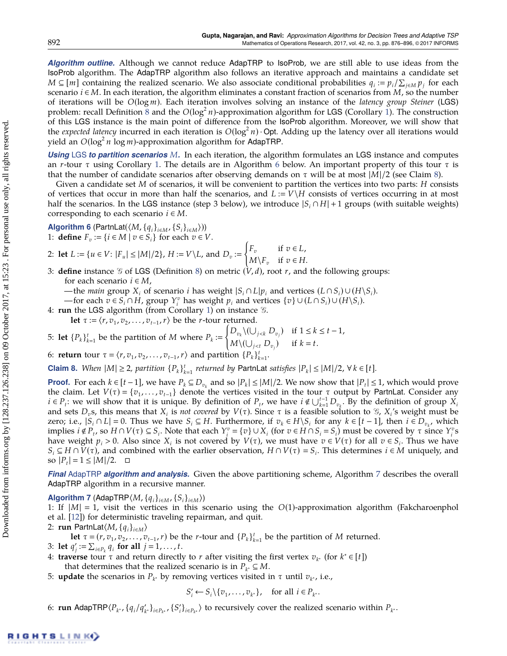*Algorithm outline.* Although we cannot reduce AdapTRP to IsoProb, we are still able to use ideas from the IsoProb algorithm. The AdapTRP algorithm also follows an iterative approach and maintains a candidate set *M* ⊆ [*m*] containing the realized scenario. We also associate conditional probabilities  $q_i := p_i / \sum_{j \in M} p_j$  for each scenario *i* ∈ *M*. In each iteration, the algorithm eliminates a constant fraction of scenarios from *M*, so the number of iterations will be *O*(log *m*). Each iteration involves solving an instance of the *latency group Steiner* (LGS) problem: recall Definition [8](#page-12-2) and the  $O(log^2 n)$ -approximation algorithm for LGS (Corollary [1\)](#page-12-3). The construction of this LGS instance is the main point of difference from the IsoProb algorithm. Moreover, we will show that the *expected latency* incurred in each iteration is  $O(log^2 n) \cdot$  Opt. Adding up the latency over all iterations would yield an  $O(\log^2 n \log m)$ -approximation algorithm for AdapTRP.

*Using* LGS *to partition scenarios M.* In each iteration, the algorithm formulates an LGS instance and computes an *r*-tour τ using Corollary [1.](#page-12-3) The details are in Algorithm [6](#page-17-0) below. An important property of this tour τ is that the number of candidate scenarios after observing demands on τ will be at most |*M*|/2 (see Claim [8\)](#page-17-1).

Given a candidate set *M* of scenarios, it will be convenient to partition the vertices into two parts: *H* consists of vertices that occur in more than half the scenarios, and  $L := V\backslash H$  consists of vertices occurring in at most half the scenarios. In the LGS instance (step 3 below), we introduce  $|S_i \cap H| + 1$  groups (with suitable weights) corresponding to each scenario  $i \in M$ .

<span id="page-17-0"></span>**Algorithm 6** (PartnLat $(\langle M, \{q_i\}_{i \in M}, \{S_i\}_{i \in M} \rangle)$ ) 1: **define**  $F_v := \{i \in M \mid v \in S_i\}$  for each  $v \in V$ .

2: let 
$$
L := \{u \in V : |F_u| \le |M|/2\}
$$
,  $H := V \setminus L$ , and  $D_v := \begin{cases} F_v & \text{if } v \in L, \\ M \setminus F_v & \text{if } v \in H. \end{cases}$ 

- 3: **define** instance  $\mathcal{G}$  of LGS (Definition [8\)](#page-12-2) on metric  $(V, d)$ , root  $r$ , and the following groups: for each scenario  $i \in M$ ,
	- —the *main* group  $X_i$  of scenario *i* has weight  $|S_i \cap L|p_i$  and vertices  $(L \cap S_i) \cup (H \setminus S_i)$ .

—for each  $v \in S_i$  ∩ *H*, group  $Y_i^v$  has weight  $p_i$  and vertices  $\{v\} \cup (L \cap S_i) \cup (H \setminus S_i)$ .

- 4: **run** the LGS algorithm (from Corollary [1\)](#page-12-3) on instance G.
	- **let**  $\tau := \langle r, v_1, v_2, \dots, v_{t-1}, r \rangle$  be the *r*-tour returned.

5: **let** 
$$
\{P_k\}_{k=1}^t
$$
 be the partition of *M* where  $P_k := \begin{cases} D_{v_k} \setminus (\bigcup_{j < k} D_{v_j}) & \text{if } 1 \leq k \leq t-1, \\ M \setminus (\bigcup_{j < t} D_{v_j}) & \text{if } k = t. \end{cases}$ 

6: **return** tour  $\tau = \langle r, v_1, v_2, \dots, v_{t-1}, r \rangle$  and partition  $\{P_k\}_{k=1}^t$ .

<span id="page-17-1"></span>**Claim 8.** *When*  $|M| \geq 2$ , partition  ${P_k}_{k=1}^t$  returned by PartnLat satisfies  $|P_k| \leq |M|/2$ ,  $\forall k \in [t]$ .

**Proof.** For each  $k \in [t-1]$ , we have  $P_k \subseteq D_{v_k}$  and so  $|P_k| \leq |M|/2$ . We now show that  $|P_t| \leq 1$ , which would prove the claim. Let  $V(\tau) = \{v_1, \ldots, v_{t-1}\}\$  denote the vertices visited in the tour  $\tau$  output by PartnLat. Consider any *i* ∈ *P*<sub>t</sub>: we will show that it is unique. By definition of *P*<sub>t</sub>, we have  $i \notin \bigcup_{k=1}^{t-1} D_{v_k}$ . By the definition of group  $X_i$ and sets  $D_v$ s, this means that  $X_i$  is *not covered* by  $V(\tau)$ . Since  $\tau$  is a feasible solution to  $\mathscr{G}$ ,  $X_i$ 's weight must be zero; i.e.,  $|S_i \cap L| = 0$ . Thus we have  $S_i \subseteq H$ . Furthermore, if  $v_k \in H \backslash S_i$  for any  $k \in [t-1]$ , then  $i \in D_{v_k}$ , which implies  $i \notin P_t$ , so  $H \cap V(\tau) \subseteq S_i$ . Note that each  $Y_i^v = \{v\} \cup X_i$  (for  $v \in H \cap S_i = S_i$ ) must be covered by  $\tau$  since  $Y_i^v$ s have weight  $p_i > 0$ . Also since  $X_i$  is not covered by  $V(\tau)$ , we must have  $v \in V(\tau)$  for all  $v \in S_i$ . Thus we have  $S_i \subseteq H \cap V(\tau)$ , and combined with the earlier observation,  $H \cap V(\tau) = S_i$ . This determines  $i \in M$  uniquely, and  $\sum_{t=1}^{t} |P_t| = 1 \leq |M|/2.$ 

*Final* AdapTRP *algorithm and analysis.* Given the above partitioning scheme, Algorithm [7](#page-17-2) describes the overall AdapTRP algorithm in a recursive manner.

<span id="page-17-2"></span> $\mathsf{Algorithm 7 (AdapTRP}\langle M, \{q_i\}_{i\in M}, \{S_i\}_{i\in M} \rangle)$ 

1: If  $|M| = 1$ , visit the vertices in this scenario using the  $O(1)$ -approximation algorithm (Fakcharoenphol et al. [\[12\]](#page-20-10)) for deterministic traveling repairman, and quit.

2: **run** PartnLat $\langle M, \{q_i\}_{i \in M} \rangle$ 

**let**  $\tau = (r, v_1, v_2, \dots, v_{t-1}, r)$  be the *r*-tour and  $\{P_k\}_{k=1}^t$  be the partition of *M* returned.

- 3: **let**  $q_i'$  $\mathbf{y}'_j := \sum_{i \in P_k} q_i$  for all  $j = 1, ..., t$ .
- 4: **traverse** tour  $\tau$  and return directly to  $r$  after visiting the first vertex  $v_{k^*}$  (for  $k^* \in [t]$ ) that determines that the realized scenario is in  $P_{k^*} \subseteq M$ .
- 5: **update** the scenarios in  $P_{k^*}$  by removing vertices visited in τ until  $v_{k^*}$ , i.e.,

 $S'_i \leftarrow S_i \setminus \{v_1, \ldots, v_{k^*}\}, \text{ for all } i \in P_{k^*}.$ 

 $6:$  **run** AdapTRP $\langle P_{k^*}, \{q_i/q'_k\}$  $\{S_i^{\prime}\}_{i\in P_{k^*}}$ ,  $\{S_i^{\prime}\}$  $P_{k}$ <sup>2</sup>) to recursively cover the realized scenario within  $P_{k}$ .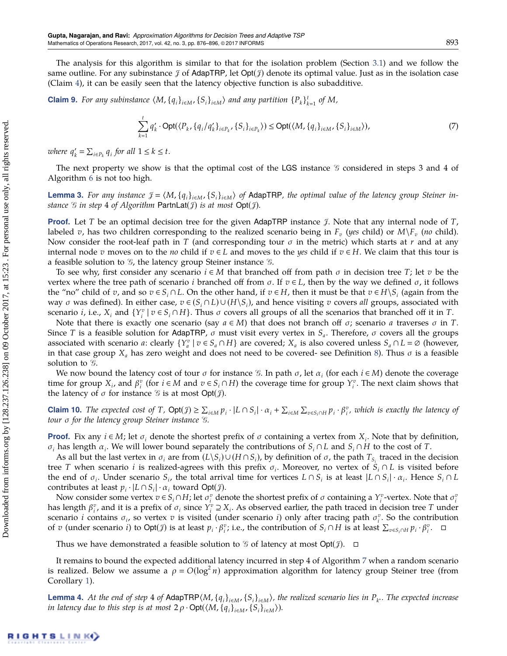The analysis for this algorithm is similar to that for the isolation problem (Section [3.1\)](#page-6-1) and we follow the same outline. For any subinstance  $\mathcal J$  of AdapTRP, let Opt( $\mathcal J$ ) denote its optimal value. Just as in the isolation case (Claim [4\)](#page-9-2), it can be easily seen that the latency objective function is also subadditive.

<span id="page-18-2"></span>**Claim 9.** For any subinstance  $\langle M, \{q_i\}_{i \in M}, \{S_i\}_{i \in M} \rangle$  and any partition  $\{P_k\}_{k=1}^t$  of M,

$$
\sum_{k=1}^{t} q'_{k} \cdot \text{Opt}(\langle P_{k}, \{q_{i}/q'_{k}\}_{i \in P_{k}}, \{S_{i}\}_{i \in P_{k}}) ) \le \text{Opt}(\langle M, \{q_{i}\}_{i \in M}, \{S_{i}\}_{i \in M} \rangle),
$$
\n(7)

 $where q'_k$  $\sum_{k}$  =  $\sum_{i \in P_k}$  *q<sub>i</sub>* for all  $1 \leq k \leq t$ .

The next property we show is that the optimal cost of the LGS instance  $\mathcal G$  considered in steps 3 and 4 of Algorithm [6](#page-17-0) is not too high.

<span id="page-18-0"></span>**Lemma 3.** *For any instance*  $\mathcal{J} = \langle M, \{q_i\}_{i \in M}, \{S_i\}_{i \in M} \rangle$  of AdapTRP, the optimal value of the latency group Steiner in*stance*  $\mathcal G$  *in step* 4 of Algorithm PartnLat( $\mathcal f$ ) *is at most*  $\text{Opt}(\mathcal f)$ *.* 

**Proof.** Let *T* be an optimal decision tree for the given AdapTRP instance *J*. Note that any internal node of *T*, labeled *v*, has two children corresponding to the realized scenario being in  $F_v$  (yes child) or  $M\backslash F_v$  (no child). Now consider the root-leaf path in *T* (and corresponding tour  $\sigma$  in the metric) which starts at *r* and at any internal node *v* moves on to the *no* child if  $v \in L$  and moves to the *yes* child if  $v \in H$ . We claim that this tour is a feasible solution to  $\mathcal G$ , the latency group Steiner instance  $\mathcal G$ .

To see why, first consider any scenario *i* ∈ *M* that branched off from path σ in decision tree *T*; let *v* be the vertex where the tree path of scenario *i* branched off from  $\sigma$ . If  $v \in L$ , then by the way we defined  $\sigma$ , it follows the "no" child of *v*, and so  $v \in S_i \cap L$ . On the other hand, if  $v \in H$ , then it must be that  $v \in H \setminus S_i$  (again from the way  $\sigma$  was defined). In either case,  $v \in (S_i \cap L) \cup (H \setminus S_i)$ , and hence visiting  $v$  covers *all* groups, associated with scenario *i*, i.e.,  $X_i$  and  $\{Y_i^v | v \in S_i \cap H\}$ . Thus  $\sigma$  covers all groups of all the scenarios that branched off it in *T*.

Note that there is exactly one scenario (say  $a \in M$ ) that does not branch off  $\sigma$ ; scenario  $a$  traverses  $\sigma$  in  $T$ . Since *T* is a feasible solution for AdapTRP, σ must visit every vertex in *S<sup>a</sup>* . Therefore, σ covers all the groups associated with scenario *a*: clearly  $\{Y_a^v | v \in S_a \cap H\}$  are covered;  $X_a$  is also covered unless  $S_a \cap L = \emptyset$  (however, in that case group  $X_a$  has zero weight and does not need to be covered- see Definition [8\)](#page-12-2). Thus  $\sigma$  is a feasible solution to  $\mathscr G$ .

We now bound the latency cost of tour  $\sigma$  for instance  $\mathscr G$ . In path  $\sigma$ , let  $\alpha_i$  (for each  $i \in M$ ) denote the coverage time for group  $X_i$ , and  $\beta_i^v$  (for  $i \in M$  and  $v \in S_i \cap H$ ) the coverage time for group  $Y_i^v$ . The next claim shows that the latency of  $\sigma$  for instance  $\mathscr G$  is at most  $\text{Opt}(\mathscr{J})$ .

**Claim 10.** The expected cost of T,  $Opt(\mathcal{J}) \ge \sum_{i \in M} p_i \cdot |L \cap S_i| \cdot \alpha_i + \sum_{i \in M} \sum_{v \in S_i \cap H} p_i \cdot \beta_i^v$ , which is exactly the latency of *tour* σ *for the latency group Steiner instance* G*.*

**Proof.** Fix any  $i \in M$ ; let  $\sigma_i$  denote the shortest prefix of  $\sigma$  containing a vertex from  $X_i$ . Note that by definition,  $\sigma_i$  has length  $\alpha_i$ . We will lower bound separately the contributions of  $S_i \cap L$  and  $S_i \cap H$  to the cost of *T*.

As all but the last vertex in  $\sigma_i$  are from  $(L\setminus S_i) \cup (H \cap S_i)$ , by definition of  $\sigma$ , the path  $T_{S_i}$  traced in the decision tree *T* when scenario *i* is realized-agrees with this prefix σ*<sup>i</sup>* . Moreover, no vertex of *S<sup>i</sup>* ∩ *L* is visited before the end of  $\sigma_i$ . Under scenario  $S_i$ , the total arrival time for vertices  $L \cap S_i$  is at least  $|L \cap S_i| \cdot \alpha_i$ . Hence  $S_i \cap L$ contributes at least  $p_i \cdot |L \cap S_i| \cdot \alpha_i$  toward  $Opt(\mathcal{J})$ .

Now consider some vertex  $v \in S_i \cap H$ ; let  $\sigma_i^v$  denote the shortest prefix of  $\sigma$  containing a  $Y_i^v$ -vertex. Note that  $\sigma_i^v$ has length  $\beta_i^v$ , and it is a prefix of  $\sigma_i$  since  $Y_i^v \supseteq X_i$ . As observed earlier, the path traced in decision tree *T* under scenario *i* contains  $\sigma_i$ , so vertex  $v$  is visited (under scenario *i*) only after tracing path  $\sigma_i^v$ . So the contribution of v (under scenario i) to  $\text{Opt}(\mathcal{J})$  is at least  $p_i \cdot \beta_i^v$ ; i.e., the contribution of  $S_i \cap H$  is at least  $\sum_{v \in S_i \cap H} p_i \cdot \beta_i^v$ .

Thus we have demonstrated a feasible solution to  $\mathscr G$  of latency at most  $\mathrm{Opt}(\mathscr f)$ .  $\Box$ 

It remains to bound the expected additional latency incurred in step 4 of Algorithm [7](#page-17-2) when a random scenario is realized. Below we assume a  $\rho = O(\log^2 n)$  approximation algorithm for latency group Steiner tree (from Corollary [1\)](#page-12-3).

<span id="page-18-1"></span>**Lemma 4.** At the end of step 4 of AdapTRP $\langle M, \{q_i\}_{i \in M}, \{S_i\}_{i \in M}\rangle$ , the realized scenario lies in  $P_{k^*}$ . The expected increase *in latency due to this step is at most*  $2 \rho \cdot \text{Opt}(\langle M, \{q_i\}_{i \in M}, \{S_i\}_{i \in M})$ *).*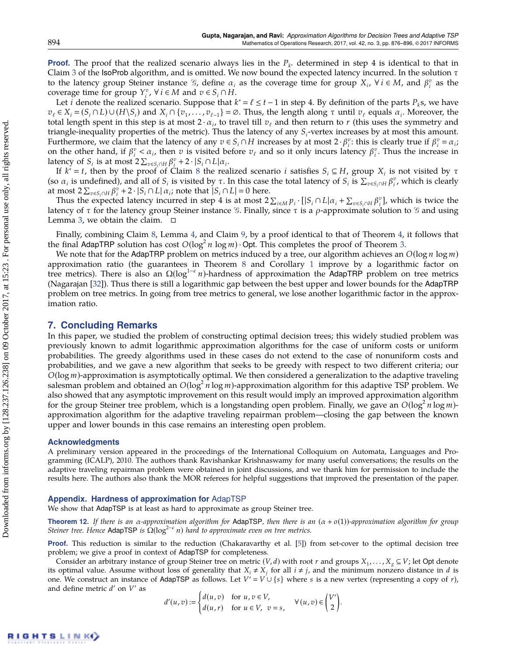**Proof.** The proof that the realized scenario always lies in the *P<sup>k</sup>* <sup>∗</sup> determined in step 4 is identical to that in Claim [3](#page-9-1) of the IsoProb algorithm, and is omitted. We now bound the expected latency incurred. In the solution  $\tau$ to the latency group Steiner instance  $\mathcal{G}$ , define  $\alpha_i$  as the coverage time for group  $X_i$ ,  $\forall i \in M$ , and  $\beta_i^v$  as the coverage time for group  $Y_i^v$ ,  $\forall i \in M$  and  $v \in S_i \cap H$ .

Let *i* denote the realized scenario. Suppose that  $k^* = \ell \leq t-1$  in step 4. By definition of the parts  $P_k$ s, we have  $v_{\ell} \in X_i = (S_i \cap L) \cup (H \setminus S_i)$  and  $X_i \cap \{v_1, \ldots, v_{\ell-1}\} = \emptyset$ . Thus, the length along  $\tau$  until  $v_{\ell}$  equals  $\alpha_i$ . Moreover, the total length spent in this step is at most  $2 \cdot \alpha_i$ , to travel till  $v_\ell$  and then return to  $r$  (this uses the symmetry and triangle-inequality properties of the metric). Thus the latency of any *S<sup>i</sup>* -vertex increases by at most this amount. Furthermore, we claim that the latency of any  $v \in S_i \cap H$  increases by at most  $2 \cdot \beta_i^v$ : this is clearly true if  $\beta_i^v = \alpha_i$ ; on the other hand, if  $\beta_i^v < \alpha_i$ , then *v* is visited before  $v_\ell$  and so it only incurs latency  $\beta_i^v$ . Thus the increase in latency of *S*<sup>*i*</sup> is at most  $2 \sum_{v \in S_i \cap H} \beta_i^v + 2 \cdot |S_i \cap L| \alpha_i$ .

If  $k^* = t$ , then by the proof of Claim [8](#page-17-1) the realized scenario *i* satisfies  $S_i \subseteq H$ , group  $X_i$  is not visited by  $\tau$ (so  $\alpha_i$  is undefined), and all of  $S_i$  is visited by  $\tau$ . In this case the total latency of  $S_i$  is  $\sum_{v \in S_i \cap H} \beta_i^v$ , which is clearly at most  $2 \sum_{v \in S_i \cap H} \beta_i^v + 2 \cdot |S_i \cap L| \alpha_i$ ; note that  $|S_i \cap L| = 0$  here.

Thus the expected latency incurred in step 4 is at most  $2 \sum_{i \in M} p_i \cdot [S_i \cap L | \alpha_i + \sum_{v \in S_i \cap H} \beta_i^v]$ , which is twice the latency of  $\tau$  for the latency group Steiner instance  $\mathscr G$ . Finally, since  $\tau$  is a  $\rho$ -approximate solution to  $\mathscr G$  and using Lemma [3,](#page-18-0) we obtain the claim.  $\Box$ 

Finally, combining Claim [8,](#page-17-1) Lemma [4,](#page-18-1) and Claim [9,](#page-18-2) by a proof identical to that of Theorem [4,](#page-6-4) it follows that the final AdapTRP solution has cost  $O(\log^2 n \log m) \cdot$  Opt. This completes the proof of Theorem [3.](#page-3-0)

We note that for the AdapTRP problem on metrics induced by a tree, our algorithm achieves an *O*(log *n* log *m*) approximation ratio (the guarantees in Theorem [8](#page-13-4) and Corollary [1](#page-12-3) improve by a logarithmic factor on tree metrics). There is also an Ω(log<sup>1-ε</sup> *n*)-hardness of approximation the AdapTRP problem on tree metrics (Nagarajan [\[32\]](#page-21-22)). Thus there is still a logarithmic gap between the best upper and lower bounds for the AdapTRP problem on tree metrics. In going from tree metrics to general, we lose another logarithmic factor in the approximation ratio.

# **7. Concluding Remarks**

In this paper, we studied the problem of constructing optimal decision trees; this widely studied problem was previously known to admit logarithmic approximation algorithms for the case of uniform costs or uniform probabilities. The greedy algorithms used in these cases do not extend to the case of nonuniform costs and probabilities, and we gave a new algorithm that seeks to be greedy with respect to two different criteria; our *O*(log *m*)-approximation is asymptotically optimal. We then considered a generalization to the adaptive traveling salesman problem and obtained an  $O(\log^2 n \log m)$ -approximation algorithm for this adaptive TSP problem. We also showed that any asymptotic improvement on this result would imply an improved approximation algorithm for the group Steiner tree problem, which is a longstanding open problem. Finally, we gave an  $O(\log^2 n \log m)$ approximation algorithm for the adaptive traveling repairman problem—closing the gap between the known upper and lower bounds in this case remains an interesting open problem.

### **Acknowledgments**

A preliminary version appeared in the proceedings of the International Colloquium on Automata, Languages and Programming (ICALP), 2010. The authors thank Ravishankar Krishnaswamy for many useful conversations; the results on the adaptive traveling repairman problem were obtained in joint discussions, and we thank him for permission to include the results here. The authors also thank the MOR referees for helpful suggestions that improved the presentation of the paper.

## **Appendix. Hardness of approximation for** AdapTSP

We show that AdapTSP is at least as hard to approximate as group Steiner tree.

**Theorem 12.** *If there is an* α*-approximation algorithm for* AdapTSP*, then there is an* (α + *o*(1))*-approximation algorithm for group Steiner tree. Hence* AdapTSP *is*  $\Omega(\log^{2-\epsilon} n)$  *hard to approximate even on tree metrics.* 

**Proof.** This reduction is similar to the reduction (Chakaravarthy et al. [\[5\]](#page-20-5)) from set-cover to the optimal decision tree problem; we give a proof in context of AdapTSP for completeness.

Consider an arbitrary instance of group Steiner tree on metric  $(V, d)$  with root  $r$  and groups  $X_1, \ldots, X_g \subseteq V$ ; let Opt denote its optimal value. Assume without loss of generality that  $X_i \neq X_j$  for all  $i \neq j$ , and the minimum nonzero distance in *d* is one. We construct an instance of AdapTSP as follows. Let  $V' = V \cup \{s\}$  where *s* is a new vertex (representing a copy of *r*), and define metric d' on V' as

$$
d'(u,v) := \begin{cases} d(u,v) & \text{for } u,v \in V, \\ d(u,r) & \text{for } u \in V, \ v = s, \end{cases} \quad \forall (u,v) \in \binom{V'}{2}.
$$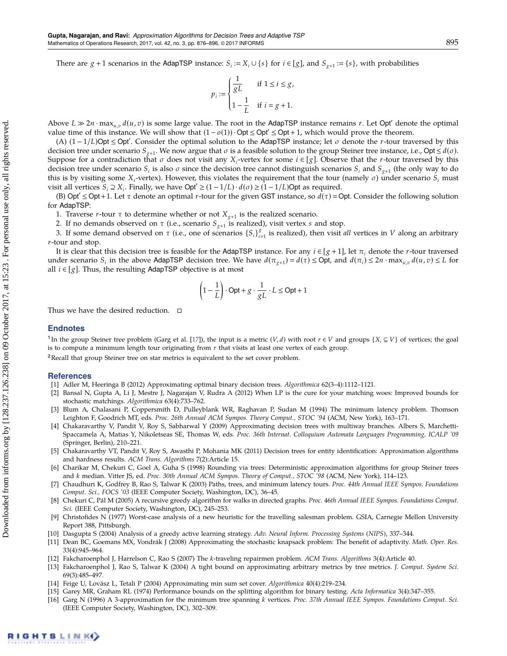There are  $g + 1$  scenarios in the AdapTSP instance:  $S_i := X_i \cup \{s\}$  for  $i \in [g]$ , and  $S_{g+1} := \{s\}$ , with probabilities

$$
p_i := \begin{cases} \frac{1}{gL} & \text{if } 1 \le i \le g, \\ 1 - \frac{1}{L} & \text{if } i = g + 1. \end{cases}
$$

Above  $L \gg 2n \cdot \max_{u,v} d(u,v)$  is some large value. The root in the AdapTSP instance remains *r*. Let Opt' denote the optimal value time of this instance. We will show that  $(1-o(1)) \cdot Opt \le Opt \le Opt + 1$ , which would prove the theorem.

(A)  $(1 − 1/L)$ Opt  $\le$  Opt'. Consider the optimal solution to the AdapTSP instance; let  $\sigma$  denote the *r*-tour traversed by this decision tree under scenario  $S_{g+1}$ . We now argue that  $\sigma$  is a feasible solution to the group Steiner tree instance, i.e., Opt  $\leq d(\sigma)$ . Suppose for a contradiction that  $\sigma$  does not visit any  $X_i$ -vertex for some  $i \in [g]$ . Observe that the *r*-tour traversed by this decision tree under scenario  $S_i$  is also  $\sigma$  since the decision tree cannot distinguish scenarios  $S_i$  and  $S_{g+1}$  (the only way to do this is by visiting some  $X_i$ -vertex). However, this violates the requirement that the tour (namely  $\sigma$ ) under scenario  $S_i$  must visit all vertices  $S_i \supseteq X_i$ . Finally, we have  $Opt' \geq (1-1/L) \cdot d(\sigma) \geq (1-1/L)$ Opt as required.

(B) Opt<sup> $\le$ </sup>  $\le$  Opt+1. Let  $\tau$  denote an optimal *r*-tour for the given GST instance, so  $d(\tau)$  = Opt. Consider the following solution for AdapTSP:

1. Traverse *r*-tour  $\tau$  to determine whether or not  $X_{g+1}$  is the realized scenario.

2. If no demands observed on τ (i.e., scenario *Sg*+<sup>1</sup> is realized), visit vertex *s* and stop.

3. If some demand observed on  $\tau$  (i.e., one of scenarios  $\{S_i\}_{i=1}^g$  is realized), then visit *all* vertices in *V* along an arbitrary *r*-tour and stop.

It is clear that this decision tree is feasible for the AdapTSP instance. For any  $i \in [g+1]$ , let  $\pi_i$  denote the *r*-tour traversed under scenario  $S_i$  in the above AdapTSP decision tree. We have  $d(\pi_{g+1}) = d(\tau) \le \text{Opt}$ , and  $d(\pi_i) \le 2n \cdot \max_{u,v} d(u,v) \le L$  for all  $i ∈ [g]$ . Thus, the resulting AdapTSP objective is at most

$$
\left(1 - \frac{1}{L}\right) \cdot \text{Opt} + g \cdot \frac{1}{gL} \cdot L \le \text{Opt} + 1
$$

Thus we have the desired reduction.

#### **Endnotes**

<span id="page-20-6"></span><sup>[1](#page-2-2)</sup>In the group Steiner tree problem (Garg et al. [\[17\]](#page-21-11)), the input is a metric  $(V, d)$  with root  $r \in V$  and groups  $\{X_i \subseteq V\}$  of vertices; the goal is to compute a minimum length tour originating from *r* that visits at least one vertex of each group.

<span id="page-20-14"></span>**[2](#page-6-5)**Recall that group Steiner tree on star metrics is equivalent to the set cover problem.

#### **References**

- <span id="page-20-4"></span>[1] Adler M, Heeringa B (2012) Approximating optimal binary decision trees. *Algorithmica* 62(3–4):1112–1121.
- <span id="page-20-1"></span>[2] Bansal N, Gupta A, Li J, Mestre J, Nagarajan V, Rudra A (2012) When LP is the cure for your matching woes: Improved bounds for stochastic matchings. *Algorithmica* 63(4):733–762.
- <span id="page-20-8"></span>[3] Blum A, Chalasani P, Coppersmith D, Pulleyblank WR, Raghavan P, Sudan M (1994) The minimum latency problem. Thomson Leighton F, Goodrich MT, eds. *Proc. 26th Annual ACM Sympos. Theory Comput., STOC '94* (ACM, New York), 163–171.
- <span id="page-20-13"></span>[4] Chakaravarthy V, Pandit V, Roy S, Sabharwal Y (2009) Approximating decision trees with multiway branches. Albers S, Marchetti-Spaccamela A, Matias Y, Nikoletseas SE, Thomas W, eds. *Proc. 36th Internat. Colloquium Automata Languages Programming, ICALP '09* (Springer, Berlin), 210–221.
- <span id="page-20-5"></span>[5] Chakaravarthy VT, Pandit V, Roy S, Awasthi P, Mohania MK (2011) Decision trees for entity identification: Approximation algorithms and hardness results. *ACM Trans. Algorithms* 7(2):Article 15.
- <span id="page-20-7"></span>[6] Charikar M, Chekuri C, Goel A, Guha S (1998) Rounding via trees: Deterministic approximation algorithms for group Steiner trees and *k* median. Vitter JS, ed. *Proc. 30th Annual ACM Sympos. Theory of Comput., STOC '98* (ACM, New York), 114–123.
- <span id="page-20-9"></span>[7] Chaudhuri K, Godfrey B, Rao S, Talwar K (2003) Paths, trees, and minimum latency tours. *Proc. 44th Annual IEEE Sympos. Foundations Comput. Sci., FOCS '03* (IEEE Computer Society, Washington, DC), 36–45.
- <span id="page-20-11"></span>[8] Chekuri C, Pál M (2005) A recursive greedy algorithm for walks in directed graphs. *Proc.* 46*th Annual IEEE Sympos. Foundations Comput. Sci.* (IEEE Computer Society, Washington, DC), 245–253.
- <span id="page-20-15"></span>[9] Christofides N (1977) Worst-case analysis of a new heuristic for the travelling salesman problem. GSIA, Carnegie Mellon University Report 388, Pittsburgh.
- <span id="page-20-3"></span>[10] Dasgupta S (2004) Analysis of a greedy active learning strategy. *Adv. Neural Inform. Processing Systems* (*NIPS*), 337–344.
- <span id="page-20-0"></span>[11] Dean BC, Goemans MX, Vondrák J (2008) Approximating the stochastic knapsack problem: The benefit of adaptivity. *Math. Oper. Res.* 33(4):945–964.
- <span id="page-20-10"></span>[12] Fakcharoenphol J, Harrelson C, Rao S (2007) The *k*-traveling repairmen problem. *ACM Trans. Algorithms* 3(4):Article 40.
- <span id="page-20-16"></span>[13] Fakcharoenphol J, Rao S, Talwar K (2004) A tight bound on approximating arbitrary metrics by tree metrics. *J. Comput. System Sci.* 69(3):485–497.
- <span id="page-20-12"></span>[14] Feige U, Lovász L, Tetali P (2004) Approximating min sum set cover. *Algorithmica* 40(4):219–234.
- <span id="page-20-2"></span>[15] Garey MR, Graham RL (1974) Performance bounds on the splitting algorithm for binary testing. *Acta Informatica* 3(4):347–355.
- <span id="page-20-17"></span>[16] Garg N (1996) A 3-approximation for the minimum tree spanning *k* vertices. *Proc. 37th Annual IEEE Sympos. Foundations Comput. Sci.* (IEEE Computer Society, Washington, DC), 302–309.